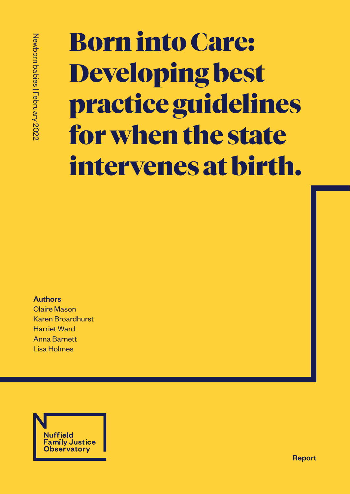# Born into Care: Developing best practice guidelines for when the state intervenes at birth.

Authors Claire Mason Karen Broardhurst Harriet Ward Anna Barnett Lisa Holmes



Report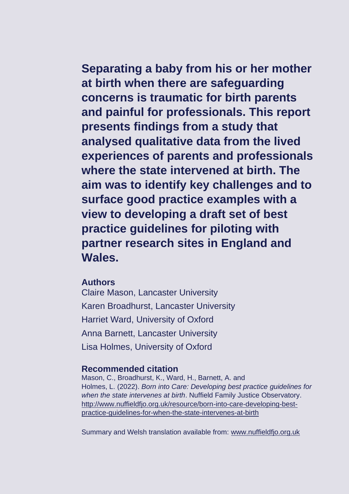**Separating a baby from his or her mother at birth when there are safeguarding concerns is traumatic for birth parents and painful for professionals. This report presents findings from a study that analysed qualitative data from the lived experiences of parents and professionals where the state intervened at birth. The aim was to identify key challenges and to surface good practice examples with a view to developing a draft set of best practice guidelines for piloting with partner research sites in England and Wales.**

### **Authors**

Claire Mason, Lancaster University Karen Broadhurst, Lancaster University Harriet Ward, University of Oxford Anna Barnett, Lancaster University Lisa Holmes, University of Oxford

### **Recommended citation**

Mason, C., Broadhurst, K., Ward, H., Barnett, A. and Holmes, L. (2022). *Born into Care: Developing best practice guidelines for when the state intervenes at birth*. Nuffield Family Justice Observatory. [http://www.nuffieldfjo.org.uk/resource/born-into-care-developing-best](http://www.nuffieldfjo.org.uk/resource/born-into-care-developing-best-practice-guidelines-for-when-the-state-intervenes-at-birth)[practice-guidelines-for-when-the-state-intervenes-at-birth](http://www.nuffieldfjo.org.uk/resource/born-into-care-developing-best-practice-guidelines-for-when-the-state-intervenes-at-birth)

Summary and Welsh translation available from: [www.nuffieldfjo.org.uk](http://www.nuffieldfjo.org.uk/)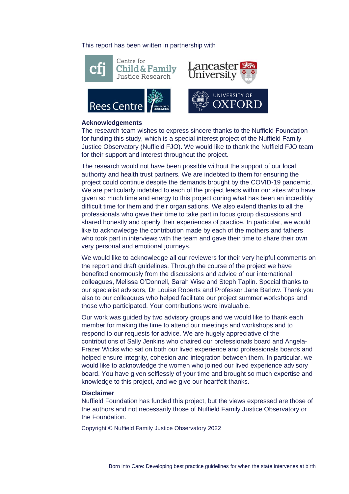#### This report has been written in partnership with





#### **Acknowledgements**

**Rees Centre** 

The research team wishes to express sincere thanks to the Nuffield Foundation for funding this study, which is a special interest project of the Nuffield Family Justice Observatory (Nuffield FJO). We would like to thank the Nuffield FJO team for their support and interest throughout the project.

The research would not have been possible without the support of our local authority and health trust partners. We are indebted to them for ensuring the project could continue despite the demands brought by the COVID-19 pandemic. We are particularly indebted to each of the project leads within our sites who have given so much time and energy to this project during what has been an incredibly difficult time for them and their organisations. We also extend thanks to all the professionals who gave their time to take part in focus group discussions and shared honestly and openly their experiences of practice. In particular, we would like to acknowledge the contribution made by each of the mothers and fathers who took part in interviews with the team and gave their time to share their own very personal and emotional journeys.

We would like to acknowledge all our reviewers for their very helpful comments on the report and draft guidelines. Through the course of the project we have benefited enormously from the discussions and advice of our international colleagues, Melissa O'Donnell, Sarah Wise and Steph Taplin. Special thanks to our specialist advisors, Dr Louise Roberts and Professor Jane Barlow. Thank you also to our colleagues who helped facilitate our project summer workshops and those who participated. Your contributions were invaluable.

Our work was guided by two advisory groups and we would like to thank each member for making the time to attend our meetings and workshops and to respond to our requests for advice. We are hugely appreciative of the contributions of Sally Jenkins who chaired our professionals board and Angela-Frazer Wicks who sat on both our lived experience and professionals boards and helped ensure integrity, cohesion and integration between them. In particular, we would like to acknowledge the women who joined our lived experience advisory board. You have given selflessly of your time and brought so much expertise and knowledge to this project, and we give our heartfelt thanks.

#### **Disclaimer**

Nuffield Foundation has funded this project, but the views expressed are those of the authors and not necessarily those of Nuffield Family Justice Observatory or the Foundation.

Copyright © Nuffield Family Justice Observatory 2022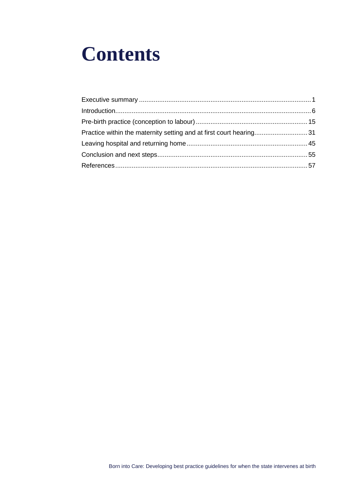## **Contents**

| Practice within the maternity setting and at first court hearing31 |  |
|--------------------------------------------------------------------|--|
|                                                                    |  |
|                                                                    |  |
|                                                                    |  |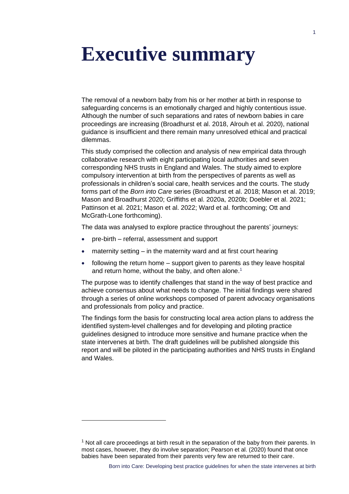## <span id="page-4-0"></span>**Executive summary**

The removal of a newborn baby from his or her mother at birth in response to safeguarding concerns is an emotionally charged and highly contentious issue. Although the number of such separations and rates of newborn babies in care proceedings are increasing (Broadhurst et al. 2018, Alrouh et al. 2020), national guidance is insufficient and there remain many unresolved ethical and practical dilemmas.

This study comprised the collection and analysis of new empirical data through collaborative research with eight participating local authorities and seven corresponding NHS trusts in England and Wales. The study aimed to explore compulsory intervention at birth from the perspectives of parents as well as professionals in children's social care, health services and the courts. The study forms part of the *Born into Care* series (Broadhurst et al. 2018; Mason et al. 2019; Mason and Broadhurst 2020; Griffiths et al. 2020a, 2020b; Doebler et al. 2021; Pattinson et al. 2021; Mason et al. 2022; Ward et al. forthcoming; Ott and McGrath-Lone forthcoming).

The data was analysed to explore practice throughout the parents' journeys:

- pre-birth referral, assessment and support
- maternity setting in the maternity ward and at first court hearing
- following the return home support given to parents as they leave hospital and return home, without the baby, and often alone. 1

The purpose was to identify challenges that stand in the way of best practice and achieve consensus about what needs to change. The initial findings were shared through a series of online workshops composed of parent advocacy organisations and professionals from policy and practice.

The findings form the basis for constructing local area action plans to address the identified system-level challenges and for developing and piloting practice guidelines designed to introduce more sensitive and humane practice when the state intervenes at birth. The draft guidelines will be published alongside this report and will be piloted in the participating authorities and NHS trusts in England and Wales.

 $<sup>1</sup>$  Not all care proceedings at birth result in the separation of the baby from their parents. In</sup> most cases, however, they do involve separation; Pearson et al. (2020) found that once babies have been separated from their parents very few are returned to their care.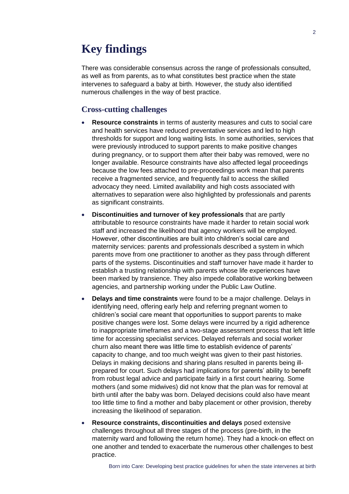## **Key findings**

There was considerable consensus across the range of professionals consulted, as well as from parents, as to what constitutes best practice when the state intervenes to safeguard a baby at birth. However, the study also identified numerous challenges in the way of best practice.

#### **Cross-cutting challenges**

- **Resource constraints** in terms of austerity measures and cuts to social care and health services have reduced preventative services and led to high thresholds for support and long waiting lists. In some authorities, services that were previously introduced to support parents to make positive changes during pregnancy, or to support them after their baby was removed, were no longer available. Resource constraints have also affected legal proceedings because the low fees attached to pre-proceedings work mean that parents receive a fragmented service, and frequently fail to access the skilled advocacy they need. Limited availability and high costs associated with alternatives to separation were also highlighted by professionals and parents as significant constraints.
- **Discontinuities and turnover of key professionals** that are partly attributable to resource constraints have made it harder to retain social work staff and increased the likelihood that agency workers will be employed. However, other discontinuities are built into children's social care and maternity services: parents and professionals described a system in which parents move from one practitioner to another as they pass through different parts of the systems. Discontinuities and staff turnover have made it harder to establish a trusting relationship with parents whose life experiences have been marked by transience. They also impede collaborative working between agencies, and partnership working under the Public Law Outline.
- **Delays and time constraints** were found to be a major challenge. Delays in identifying need, offering early help and referring pregnant women to children's social care meant that opportunities to support parents to make positive changes were lost. Some delays were incurred by a rigid adherence to inappropriate timeframes and a two-stage assessment process that left little time for accessing specialist services. Delayed referrals and social worker churn also meant there was little time to establish evidence of parents' capacity to change, and too much weight was given to their past histories. Delays in making decisions and sharing plans resulted in parents being illprepared for court. Such delays had implications for parents' ability to benefit from robust legal advice and participate fairly in a first court hearing. Some mothers (and some midwives) did not know that the plan was for removal at birth until after the baby was born. Delayed decisions could also have meant too little time to find a mother and baby placement or other provision, thereby increasing the likelihood of separation.
- **Resource constraints, discontinuities and delays** posed extensive challenges throughout all three stages of the process (pre-birth, in the maternity ward and following the return home). They had a knock-on effect on one another and tended to exacerbate the numerous other challenges to best practice.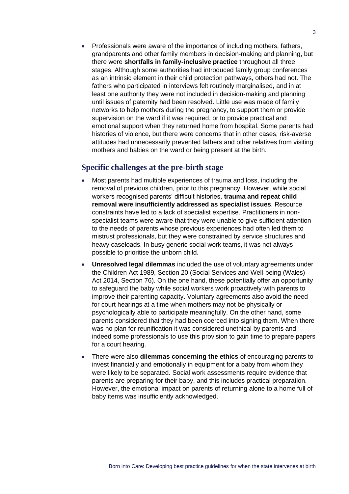• Professionals were aware of the importance of including mothers, fathers, grandparents and other family members in decision-making and planning, but there were **shortfalls in family-inclusive practice** throughout all three stages. Although some authorities had introduced family group conferences as an intrinsic element in their child protection pathways, others had not. The fathers who participated in interviews felt routinely marginalised, and in at least one authority they were not included in decision-making and planning until issues of paternity had been resolved. Little use was made of family networks to help mothers during the pregnancy, to support them or provide supervision on the ward if it was required, or to provide practical and emotional support when they returned home from hospital. Some parents had histories of violence, but there were concerns that in other cases, risk-averse attitudes had unnecessarily prevented fathers and other relatives from visiting mothers and babies on the ward or being present at the birth.

#### **Specific challenges at the pre-birth stage**

- Most parents had multiple experiences of trauma and loss, including the removal of previous children, prior to this pregnancy. However, while social workers recognised parents' difficult histories, **trauma and repeat child removal were insufficiently addressed as specialist issues**. Resource constraints have led to a lack of specialist expertise. Practitioners in nonspecialist teams were aware that they were unable to give sufficient attention to the needs of parents whose previous experiences had often led them to mistrust professionals, but they were constrained by service structures and heavy caseloads. In busy generic social work teams, it was not always possible to prioritise the unborn child.
- **Unresolved legal dilemmas** included the use of voluntary agreements under the Children Act 1989, Section 20 (Social Services and Well-being (Wales) Act 2014, Section 76). On the one hand, these potentially offer an opportunity to safeguard the baby while social workers work proactively with parents to improve their parenting capacity. Voluntary agreements also avoid the need for court hearings at a time when mothers may not be physically or psychologically able to participate meaningfully. On the other hand, some parents considered that they had been coerced into signing them. When there was no plan for reunification it was considered unethical by parents and indeed some professionals to use this provision to gain time to prepare papers for a court hearing.
- There were also **dilemmas concerning the ethics** of encouraging parents to invest financially and emotionally in equipment for a baby from whom they were likely to be separated. Social work assessments require evidence that parents are preparing for their baby, and this includes practical preparation. However, the emotional impact on parents of returning alone to a home full of baby items was insufficiently acknowledged.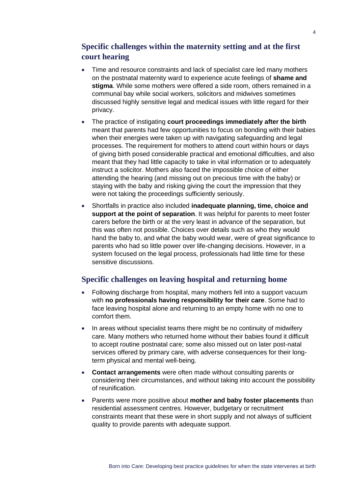#### **Specific challenges within the maternity setting and at the first court hearing**

- Time and resource constraints and lack of specialist care led many mothers on the postnatal maternity ward to experience acute feelings of **shame and stigma**. While some mothers were offered a side room, others remained in a communal bay while social workers, solicitors and midwives sometimes discussed highly sensitive legal and medical issues with little regard for their privacy.
- The practice of instigating **court proceedings immediately after the birth** meant that parents had few opportunities to focus on bonding with their babies when their energies were taken up with navigating safeguarding and legal processes. The requirement for mothers to attend court within hours or days of giving birth posed considerable practical and emotional difficulties, and also meant that they had little capacity to take in vital information or to adequately instruct a solicitor. Mothers also faced the impossible choice of either attending the hearing (and missing out on precious time with the baby) or staying with the baby and risking giving the court the impression that they were not taking the proceedings sufficiently seriously.
- Shortfalls in practice also included **inadequate planning, time, choice and support at the point of separation**. It was helpful for parents to meet foster carers before the birth or at the very least in advance of the separation, but this was often not possible. Choices over details such as who they would hand the baby to, and what the baby would wear, were of great significance to parents who had so little power over life-changing decisions. However, in a system focused on the legal process, professionals had little time for these sensitive discussions.

#### **Specific challenges on leaving hospital and returning home**

- Following discharge from hospital, many mothers fell into a support vacuum with **no professionals having responsibility for their care**. Some had to face leaving hospital alone and returning to an empty home with no one to comfort them.
- In areas without specialist teams there might be no continuity of midwifery care. Many mothers who returned home without their babies found it difficult to accept routine postnatal care; some also missed out on later post-natal services offered by primary care, with adverse consequences for their longterm physical and mental well-being.
- **Contact arrangements** were often made without consulting parents or considering their circumstances, and without taking into account the possibility of reunification.
- Parents were more positive about **mother and baby foster placements** than residential assessment centres. However, budgetary or recruitment constraints meant that these were in short supply and not always of sufficient quality to provide parents with adequate support.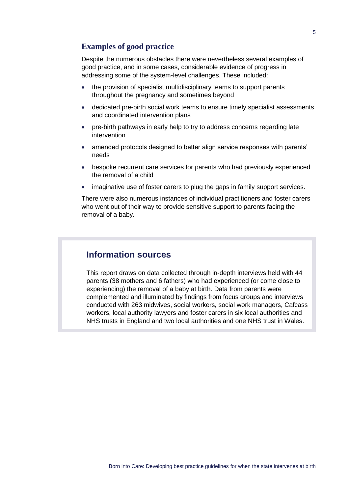#### **Examples of good practice**

Despite the numerous obstacles there were nevertheless several examples of good practice, and in some cases, considerable evidence of progress in addressing some of the system-level challenges. These included:

- the provision of specialist multidisciplinary teams to support parents throughout the pregnancy and sometimes beyond
- dedicated pre-birth social work teams to ensure timely specialist assessments and coordinated intervention plans
- pre-birth pathways in early help to try to address concerns regarding late intervention
- amended protocols designed to better align service responses with parents' needs
- bespoke recurrent care services for parents who had previously experienced the removal of a child
- imaginative use of foster carers to plug the gaps in family support services.

There were also numerous instances of individual practitioners and foster carers who went out of their way to provide sensitive support to parents facing the removal of a baby.

### **Information sources**

This report draws on data collected through in-depth interviews held with 44 parents (38 mothers and 6 fathers) who had experienced (or come close to experiencing) the removal of a baby at birth. Data from parents were complemented and illuminated by findings from focus groups and interviews conducted with 263 midwives, social workers, social work managers, Cafcass workers, local authority lawyers and foster carers in six local authorities and NHS trusts in England and two local authorities and one NHS trust in Wales.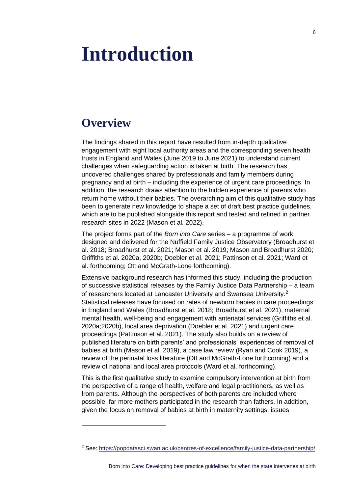## <span id="page-9-0"></span>**Introduction**

## **Overview**

The findings shared in this report have resulted from in-depth qualitative engagement with eight local authority areas and the corresponding seven health trusts in England and Wales (June 2019 to June 2021) to understand current challenges when safeguarding action is taken at birth. The research has uncovered challenges shared by professionals and family members during pregnancy and at birth – including the experience of urgent care proceedings. In addition, the research draws attention to the hidden experience of parents who return home without their babies. The overarching aim of this qualitative study has been to generate new knowledge to shape a set of draft best practice guidelines, which are to be published alongside this report and tested and refined in partner research sites in 2022 (Mason et al. 2022).

The project forms part of the *Born into Care* series – a programme of work designed and delivered for the Nuffield Family Justice Observatory (Broadhurst et al. 2018; Broadhurst et al. 2021; Mason et al. 2019; Mason and Broadhurst 2020; Griffiths et al. 2020a, 2020b; Doebler et al. 2021; Pattinson et al. 2021; Ward et al. forthcoming; Ott and McGrath-Lone forthcoming).

Extensive background research has informed this study, including the production of successive statistical releases by the Family Justice Data Partnership – a team of researchers located at Lancaster University and Swansea University.<sup>2</sup> Statistical releases have focused on rates of newborn babies in care proceedings in England and Wales (Broadhurst et al. 2018; Broadhurst et al. 2021), maternal mental health, well-being and engagement with antenatal services (Griffiths et al. 2020a;2020b), local area deprivation (Doebler et al. 2021) and urgent care proceedings (Pattinson et al. 2021). The study also builds on a review of published literature on birth parents' and professionals' experiences of removal of babies at birth (Mason et al. 2019), a case law review (Ryan and Cook 2019), a review of the perinatal loss literature (Ott and McGrath-Lone forthcoming) and a review of national and local area protocols (Ward et al. forthcoming).

This is the first qualitative study to examine compulsory intervention at birth from the perspective of a range of health, welfare and legal practitioners, as well as from parents. Although the perspectives of both parents are included where possible, far more mothers participated in the research than fathers. In addition, given the focus on removal of babies at birth in maternity settings, issues

<sup>&</sup>lt;sup>2</sup> See:<https://popdatasci.swan.ac.uk/centres-of-excellence/family-justice-data-partnership/>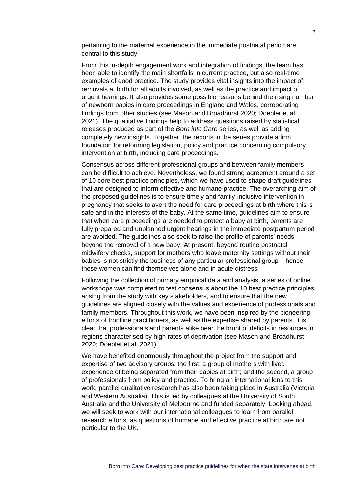pertaining to the maternal experience in the immediate postnatal period are central to this study.

From this in-depth engagement work and integration of findings, the team has been able to identify the main shortfalls in current practice, but also real-time examples of good practice. The study provides vital insights into the impact of removals at birth for all adults involved, as well as the practice and impact of urgent hearings. It also provides some possible reasons behind the rising number of newborn babies in care proceedings in England and Wales, corroborating findings from other studies (see Mason and Broadhurst 2020; Doebler et al. 2021). The qualitative findings help to address questions raised by statistical releases produced as part of the *Born into Care* series, as well as adding completely new insights. Together, the reports in the series provide a firm foundation for reforming legislation, policy and practice concerning compulsory intervention at birth, including care proceedings.

Consensus across different professional groups and between family members can be difficult to achieve. Nevertheless, we found strong agreement around a set of 10 core best practice principles, which we have used to shape draft guidelines that are designed to inform effective and humane practice. The overarching aim of the proposed guidelines is to ensure timely and family-inclusive intervention in pregnancy that seeks to avert the need for care proceedings at birth where this is safe and in the interests of the baby. At the same time, guidelines aim to ensure that when care proceedings are needed to protect a baby at birth, parents are fully prepared and unplanned urgent hearings in the immediate postpartum period are avoided. The guidelines also seek to raise the profile of parents' needs beyond the removal of a new baby. At present, beyond routine postnatal midwifery checks, support for mothers who leave maternity settings without their babies is not strictly the business of any particular professional group – hence these women can find themselves alone and in acute distress.

Following the collection of primary empirical data and analysis, a series of online workshops was completed to test consensus about the 10 best practice principles arising from the study with key stakeholders, and to ensure that the new guidelines are aligned closely with the values and experience of professionals and family members. Throughout this work, we have been inspired by the pioneering efforts of frontline practitioners, as well as the expertise shared by parents. It is clear that professionals and parents alike bear the brunt of deficits in resources in regions characterised by high rates of deprivation (see Mason and Broadhurst 2020; Doebler et al. 2021).

We have benefited enormously throughout the project from the support and expertise of two advisory groups: the first, a group of mothers with lived experience of being separated from their babies at birth; and the second, a group of professionals from policy and practice. To bring an international lens to this work, parallel qualitative research has also been taking place in Australia (Victoria and Western Australia). This is led by colleagues at the University of South Australia and the University of Melbourne and funded separately. Looking ahead, we will seek to work with our international colleagues to learn from parallel research efforts, as questions of humane and effective practice at birth are not particular to the UK.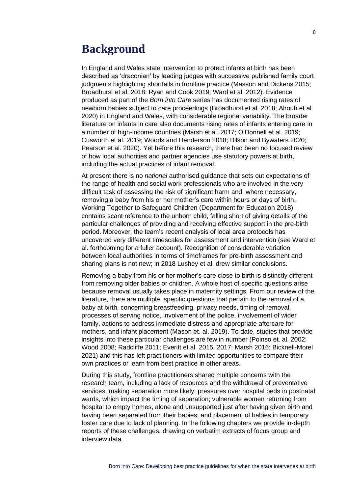### **Background**

In England and Wales state intervention to protect infants at birth has been described as 'draconian' by leading judges with successive published family court judgments highlighting shortfalls in frontline practice (Masson and Dickens 2015; Broadhurst et al. 2018; Ryan and Cook 2019; Ward et al. 2012). Evidence produced as part of the *Born into Care* series has documented rising rates of newborn babies subject to care proceedings (Broadhurst et al. 2018; Alrouh et al. 2020) in England and Wales, with considerable regional variability. The broader literature on infants in care also documents rising rates of infants entering care in a number of high-income countries (Marsh et al. 2017; O'Donnell et al. 2019; Cusworth et al. 2019; Woods and Henderson 2018; Bilson and Bywaters 2020; Pearson et al. 2020). Yet before this research, there had been no focused review of how local authorities and partner agencies use statutory powers at birth, including the actual practices of infant removal.

At present there is no *national* authorised guidance that sets out expectations of the range of health and social work professionals who are involved in the very difficult task of assessing the risk of significant harm and, where necessary, removing a baby from his or her mother's care within hours or days of birth. Working Together to Safeguard Children (Department for Education 2018) contains scant reference to the unborn child, falling short of giving details of the particular challenges of providing and receiving effective support in the pre-birth period. Moreover, the team's recent analysis of local area protocols has uncovered very different timescales for assessment and intervention (see Ward et al. forthcoming for a fuller account). Recognition of considerable variation between local authorities in terms of timeframes for pre-birth assessment and sharing plans is not new; in 2018 Lushey et al. drew similar conclusions.

Removing a baby from his or her mother's care close to birth is distinctly different from removing older babies or children. A whole host of specific questions arise because removal usually takes place in maternity settings. From our review of the literature, there are multiple, specific questions that pertain to the removal of a baby at birth, concerning breastfeeding, privacy needs, timing of removal, processes of serving notice, involvement of the police, involvement of wider family, actions to address immediate distress and appropriate aftercare for mothers, and infant placement (Mason et. al. 2019). To date, studies that provide insights into these particular challenges are few in number (Poinso et. al. 2002; Wood 2008; Radcliffe 2011; Everitt et al. 2015, 2017; Marsh 2016; Bicknell-Morel 2021) and this has left practitioners with limited opportunities to compare their own practices or learn from best practice in other areas.

During this study, frontline practitioners shared multiple concerns with the research team, including a lack of resources and the withdrawal of preventative services, making separation more likely; pressures over hospital beds in postnatal wards, which impact the timing of separation; vulnerable women returning from hospital to empty homes, alone and unsupported just after having given birth and having been separated from their babies; and placement of babies in temporary foster care due to lack of planning. In the following chapters we provide in-depth reports of these challenges, drawing on verbatim extracts of focus group and interview data.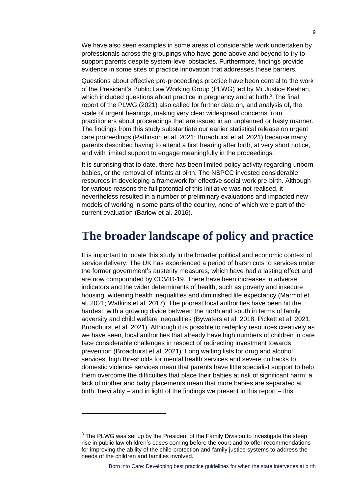We have also seen examples in some areas of considerable work undertaken by professionals across the groupings who have gone above and beyond to try to support parents despite system-level obstacles. Furthermore, findings provide evidence in some sites of practice innovation that addresses these barriers.

Questions about effective pre-proceedings practice have been central to the work of the President's Public Law Working Group (PLWG) led by Mr Justice Keehan, which included questions about practice in pregnancy and at birth.<sup>3</sup> The final report of the PLWG (2021) also called for further data on, and analysis of, the scale of urgent hearings, making very clear widespread concerns from practitioners about proceedings that are issued in an unplanned or hasty manner. The findings from this study substantiate our earlier statistical release on urgent care proceedings (Pattinson et al. 2021; Broadhurst et al. 2021) because many parents described having to attend a first hearing after birth, at very short notice, and with limited support to engage meaningfully in the proceedings.

It is surprising that to date, there has been limited policy activity regarding unborn babies, or the removal of infants at birth. The NSPCC invested considerable resources in developing a framework for effective social work pre-birth. Although for various reasons the full potential of this initiative was not realised, it nevertheless resulted in a number of preliminary evaluations and impacted new models of working in some parts of the country, none of which were part of the current evaluation (Barlow et al. 2016).

### **The broader landscape of policy and practice**

It is important to locate this study in the broader political and economic context of service delivery. The UK has experienced a period of harsh cuts to services under the former government's austerity measures, which have had a lasting effect and are now compounded by COVID-19. There have been increases in adverse indicators and the wider determinants of health, such as poverty and insecure housing, widening health inequalities and diminished life expectancy (Marmot et al. 2021; Watkins et al. 2017). The poorest local authorities have been hit the hardest, with a growing divide between the north and south in terms of family adversity and child welfare inequalities (Bywaters et al. 2018; Pickett et al. 2021; Broadhurst et al. 2021). Although it is possible to redeploy resources creatively as we have seen, local authorities that already have high numbers of children in care face considerable challenges in respect of redirecting investment towards prevention (Broadhurst et al. 2021). Long waiting lists for drug and alcohol services, high thresholds for mental health services and severe cutbacks to domestic violence services mean that parents have little specialist support to help them overcome the difficulties that place their babies at risk of significant harm; a lack of mother and baby placements mean that more babies are separated at birth. Inevitably – and in light of the findings we present in this report – this

<sup>&</sup>lt;sup>3</sup> The PLWG was set up by the President of the Family Division to investigate the steep rise in public law children's cases coming before the court and to offer recommendations for improving the ability of the child protection and family justice systems to address the needs of the children and families involved.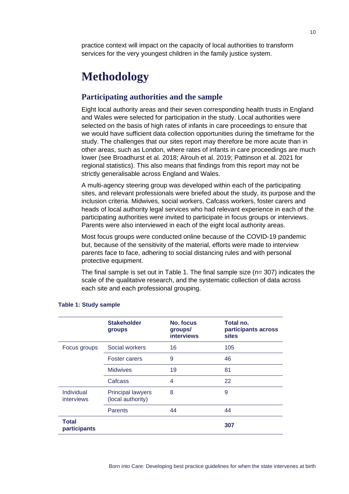practice context will impact on the capacity of local authorities to transform services for the very youngest children in the family justice system.

## **Methodology**

#### **Participating authorities and the sample**

Eight local authority areas and their seven corresponding health trusts in England and Wales were selected for participation in the study. Local authorities were selected on the basis of high rates of infants in care proceedings to ensure that we would have sufficient data collection opportunities during the timeframe for the study. The challenges that our sites report may therefore be more acute than in other areas, such as London, where rates of infants in care proceedings are much lower (see Broadhurst et al. 2018; Alrouh et al. 2019; Pattinson et al. 2021 for regional statistics). This also means that findings from this report may not be strictly generalisable across England and Wales.

A multi-agency steering group was developed within each of the participating sites, and relevant professionals were briefed about the study, its purpose and the inclusion criteria. Midwives, social workers, Cafcass workers, foster carers and heads of local authority legal services who had relevant experience in each of the participating authorities were invited to participate in focus groups or interviews. Parents were also interviewed in each of the eight local authority areas.

Most focus groups were conducted online because of the COVID-19 pandemic but, because of the sensitivity of the material, efforts were made to interview parents face to face, adhering to social distancing rules and with personal protective equipment.

The final sample is set out in Table 1. The final sample size (n= 307) indicates the scale of the qualitative research, and the systematic collection of data across each site and each professional grouping.

|                              | <b>Stakeholder</b><br>groups                  | No. focus<br>groups/<br><b>interviews</b> | Total no.<br>participants across<br><b>sites</b> |
|------------------------------|-----------------------------------------------|-------------------------------------------|--------------------------------------------------|
| Focus groups                 | Social workers                                | 16                                        | 105                                              |
|                              | <b>Foster carers</b>                          | 9                                         | 46                                               |
|                              | <b>Midwives</b>                               | 19                                        | 81                                               |
|                              | Cafcass                                       | 4                                         | 22                                               |
| Individual<br>interviews     | <b>Principal lawyers</b><br>(local authority) | 8                                         | 9                                                |
|                              | Parents                                       | 44                                        | 44                                               |
| <b>Total</b><br>participants |                                               |                                           | 307                                              |

#### **Table 1: Study sample**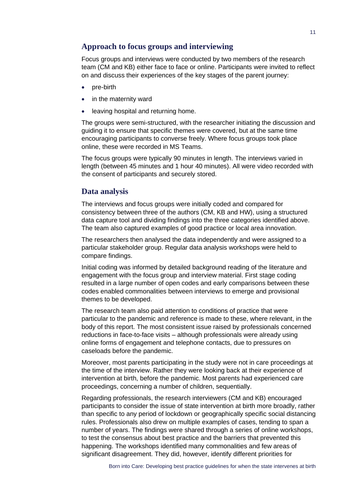#### **Approach to focus groups and interviewing**

Focus groups and interviews were conducted by two members of the research team (CM and KB) either face to face or online. Participants were invited to reflect on and discuss their experiences of the key stages of the parent journey:

- pre-birth
- in the maternity ward
- leaving hospital and returning home.

The groups were semi-structured, with the researcher initiating the discussion and guiding it to ensure that specific themes were covered, but at the same time encouraging participants to converse freely. Where focus groups took place online, these were recorded in MS Teams.

The focus groups were typically 90 minutes in length. The interviews varied in length (between 45 minutes and 1 hour 40 minutes). All were video recorded with the consent of participants and securely stored.

#### **Data analysis**

The interviews and focus groups were initially coded and compared for consistency between three of the authors (CM, KB and HW), using a structured data capture tool and dividing findings into the three categories identified above. The team also captured examples of good practice or local area innovation.

The researchers then analysed the data independently and were assigned to a particular stakeholder group. Regular data analysis workshops were held to compare findings.

Initial coding was informed by detailed background reading of the literature and engagement with the focus group and interview material. First stage coding resulted in a large number of open codes and early comparisons between these codes enabled commonalities between interviews to emerge and provisional themes to be developed.

The research team also paid attention to conditions of practice that were particular to the pandemic and reference is made to these, where relevant, in the body of this report. The most consistent issue raised by professionals concerned reductions in face-to-face visits – although professionals were already using online forms of engagement and telephone contacts, due to pressures on caseloads before the pandemic.

Moreover, most parents participating in the study were not in care proceedings at the time of the interview. Rather they were looking back at their experience of intervention at birth, before the pandemic. Most parents had experienced care proceedings, concerning a number of children, sequentially.

Regarding professionals, the research interviewers (CM and KB) encouraged participants to consider the issue of state intervention at birth more broadly, rather than specific to any period of lockdown or geographically specific social distancing rules. Professionals also drew on multiple examples of cases, tending to span a number of years. The findings were shared through a series of online workshops, to test the consensus about best practice and the barriers that prevented this happening. The workshops identified many commonalities and few areas of significant disagreement. They did, however, identify different priorities for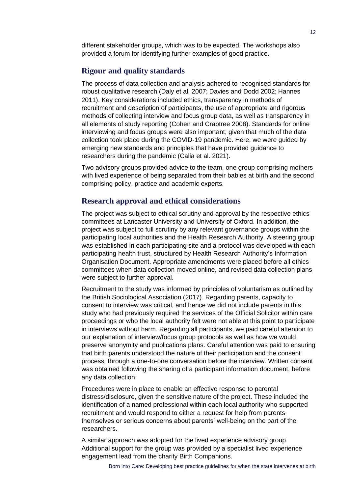different stakeholder groups, which was to be expected. The workshops also provided a forum for identifying further examples of good practice.

#### **Rigour and quality standards**

The process of data collection and analysis adhered to recognised standards for robust qualitative research [\(Daly et al.](https://journals.sagepub.com/doi/full/10.1177/1473325019893412) 2007; [Davies and Dodd 2002;](https://journals.sagepub.com/doi/full/10.1177/1473325019893412) [Hannes](https://journals.sagepub.com/doi/full/10.1177/1473325019893412)  [2011\)](https://journals.sagepub.com/doi/full/10.1177/1473325019893412). Key considerations included ethics, transparency in methods of recruitment and description of participants, the use of appropriate and rigorous methods of collecting interview and focus group data, as well as transparency in all elements of study reporting [\(Cohen and Crabtree 2008\)](https://journals.sagepub.com/doi/full/10.1177/1473325019893412). Standards for online interviewing and focus groups were also important, given that much of the data collection took place during the COVID-19 pandemic. Here, we were guided by emerging new standards and principles that have provided guidance to researchers during the pandemic (Calia et al. 2021).

Two advisory groups provided advice to the team, one group comprising mothers with lived experience of being separated from their babies at birth and the second comprising policy, practice and academic experts.

#### **Research approval and ethical considerations**

The project was subject to ethical scrutiny and approval by the respective ethics committees at Lancaster University and University of Oxford. In addition, the project was subject to full scrutiny by any relevant governance groups within the participating local authorities and the Health Research Authority. A steering group was established in each participating site and a protocol was developed with each participating health trust, structured by Health Research Authority's Information Organisation Document. Appropriate amendments were placed before all ethics committees when data collection moved online, and revised data collection plans were subject to further approval.

Recruitment to the study was informed by principles of voluntarism as outlined by the British Sociological Association [\(2017\)](https://journals.sagepub.com/doi/full/10.1177/1473325019893412). Regarding parents, capacity to consent to interview was critical, and hence we did not include parents in this study who had previously required the services of the Official Solicitor within care proceedings or who the local authority felt were not able at this point to participate in interviews without harm. Regarding all participants, we paid careful attention to our explanation of interview/focus group protocols as well as how we would preserve anonymity and publications plans. Careful attention was paid to ensuring that birth parents understood the nature of their participation and the consent process, through a one-to-one conversation before the interview. Written consent was obtained following the sharing of a participant information document, before any data collection.

Procedures were in place to enable an effective response to parental distress/disclosure, given the sensitive nature of the project. These included the identification of a named professional within each local authority who supported recruitment and would respond to either a request for help from parents themselves or serious concerns about parents' well-being on the part of the researchers.

A similar approach was adopted for the lived experience advisory group. Additional support for the group was provided by a specialist lived experience engagement lead from the charity Birth Companions.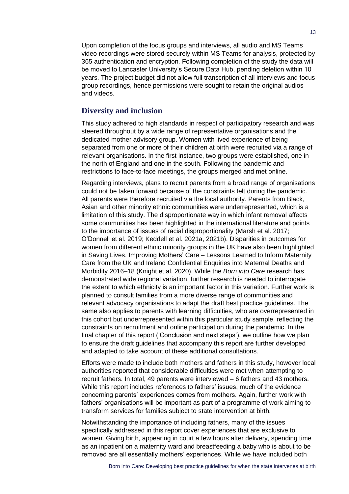Upon completion of the focus groups and interviews, all audio and MS Teams video recordings were stored securely within MS Teams for analysis, protected by 365 authentication and encryption. Following completion of the study the data will be moved to Lancaster University's Secure Data Hub, pending deletion within 10 years. The project budget did not allow full transcription of all interviews and focus group recordings, hence permissions were sought to retain the original audios and videos.

#### **Diversity and inclusion**

This study adhered to high standards in respect of participatory research and was steered throughout by a wide range of representative organisations and the dedicated mother advisory group. Women with lived experience of being separated from one or more of their children at birth were recruited via a range of relevant organisations. In the first instance, two groups were established, one in the north of England and one in the south. Following the pandemic and restrictions to face-to-face meetings, the groups merged and met online.

Regarding interviews, plans to recruit parents from a broad range of organisations could not be taken forward because of the constraints felt during the pandemic. All parents were therefore recruited via the local authority. Parents from Black, Asian and other minority ethnic communities were underrepresented, which is a limitation of this study. The disproportionate way in which infant removal affects some communities has been highlighted in the international literature and points to the importance of issues of racial disproportionality (Marsh et al. 2017; O'Donnell et al. 2019; Keddell et al. 2021a, 2021b). Disparities in outcomes for women from different ethnic minority groups in the UK have also been highlighted in Saving Lives, Improving Mothers' Care – Lessons Learned to Inform Maternity Care from the UK and Ireland Confidential Enquiries into Maternal Deaths and Morbidity 2016–18 (Knight et al. 2020). While the *Born into Care* research has demonstrated wide regional variation, further research is needed to interrogate the extent to which ethnicity is an important factor in this variation. Further work is planned to consult families from a more diverse range of communities and relevant advocacy organisations to adapt the draft best practice guidelines. The same also applies to parents with learning difficulties, who are overrepresented in this cohort but underrepresented within this particular study sample, reflecting the constraints on recruitment and online participation during the pandemic. In the final chapter of this report ('Conclusion and next steps'), we outline how we plan to ensure the draft guidelines that accompany this report are further developed and adapted to take account of these additional consultations.

Efforts were made to include both mothers and fathers in this study, however local authorities reported that considerable difficulties were met when attempting to recruit fathers. In total, 49 parents were interviewed – 6 fathers and 43 mothers. While this report includes references to fathers' issues, much of the evidence concerning parents' experiences comes from mothers. Again, further work with fathers' organisations will be important as part of a programme of work aiming to transform services for families subject to state intervention at birth.

Notwithstanding the importance of including fathers, many of the issues specifically addressed in this report cover experiences that are exclusive to women. Giving birth, appearing in court a few hours after delivery, spending time as an inpatient on a maternity ward and breastfeeding a baby who is about to be removed are all essentially mothers' experiences. While we have included both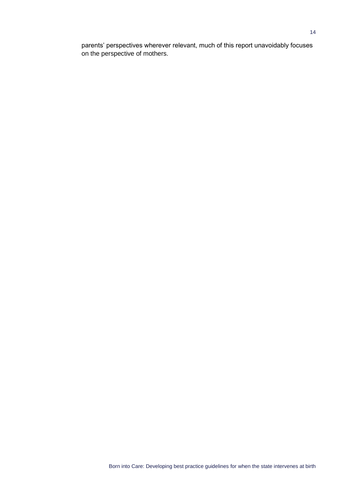parents' perspectives wherever relevant, much of this report unavoidably focuses on the perspective of mothers.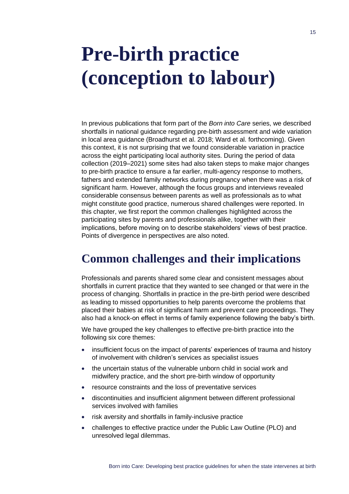## <span id="page-18-0"></span>**Pre-birth practice (conception to labour)**

In previous publications that form part of the *Born into Care* series, we described shortfalls in national guidance regarding pre-birth assessment and wide variation in local area guidance (Broadhurst et al. 2018; Ward et al. forthcoming). Given this context, it is not surprising that we found considerable variation in practice across the eight participating local authority sites. During the period of data collection (2019–2021) some sites had also taken steps to make major changes to pre-birth practice to ensure a far earlier, multi-agency response to mothers, fathers and extended family networks during pregnancy when there was a risk of significant harm. However, although the focus groups and interviews revealed considerable consensus between parents as well as professionals as to what might constitute good practice, numerous shared challenges were reported. In this chapter, we first report the common challenges highlighted across the participating sites by parents and professionals alike, together with their implications, before moving on to describe stakeholders' views of best practice. Points of divergence in perspectives are also noted.

## **Common challenges and their implications**

Professionals and parents shared some clear and consistent messages about shortfalls in current practice that they wanted to see changed or that were in the process of changing. Shortfalls in practice in the pre-birth period were described as leading to missed opportunities to help parents overcome the problems that placed their babies at risk of significant harm and prevent care proceedings. They also had a knock-on effect in terms of family experience following the baby's birth.

We have grouped the key challenges to effective pre-birth practice into the following six core themes:

- insufficient focus on the impact of parents' experiences of trauma and history of involvement with children's services as specialist issues
- the uncertain status of the vulnerable unborn child in social work and midwifery practice, and the short pre-birth window of opportunity
- resource constraints and the loss of preventative services
- discontinuities and insufficient alignment between different professional services involved with families
- risk aversity and shortfalls in family-inclusive practice
- challenges to effective practice under the Public Law Outline (PLO) and unresolved legal dilemmas.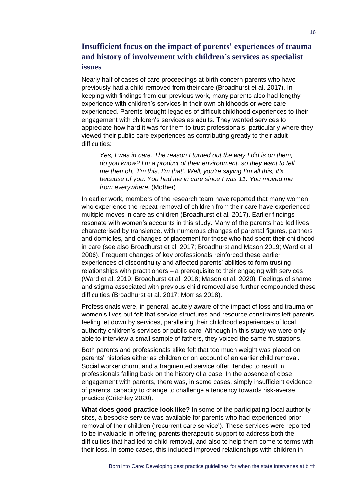#### **Insufficient focus on the impact of parents' experiences of trauma and history of involvement with children's services as specialist issues**

Nearly half of cases of care proceedings at birth concern parents who have previously had a child removed from their care (Broadhurst et al. 2017). In keeping with findings from our previous work, many parents also had lengthy experience with children's services in their own childhoods or were careexperienced. Parents brought legacies of difficult childhood experiences to their engagement with children's services as adults. They wanted services to appreciate how hard it was for them to trust professionals, particularly where they viewed their public care experiences as contributing greatly to their adult difficulties:

*Yes, I was in care. The reason I turned out the way I did is on them, do you know? I'm a product of their environment, so they want to tell me then oh, 'I'm this, I'm that'. Well, you're saying I'm all this, it's because of you. You had me in care since I was 11. You moved me from everywhere.* (Mother)

In earlier work, members of the research team have reported that many women who experience the repeat removal of children from their care have experienced multiple moves in care as children (Broadhurst et al. 2017). Earlier findings resonate with women's accounts in this study. Many of the parents had led lives characterised by transience, with numerous changes of parental figures, partners and domiciles, and changes of placement for those who had spent their childhood in care (see also Broadhurst et al. 2017; Broadhurst and Mason 2019; Ward et al. 2006). Frequent changes of key professionals reinforced these earlier experiences of discontinuity and affected parents' abilities to form trusting relationships with practitioners – a prerequisite to their engaging with services (Ward et al. 2019; Broadhurst et al. 2018; Mason et al. 2020). Feelings of shame and stigma associated with previous child removal also further compounded these difficulties (Broadhurst et al. 2017; Morriss 2018).

Professionals were, in general, acutely aware of the impact of loss and trauma on women's lives but felt that service structures and resource constraints left parents feeling let down by services, paralleling their childhood experiences of local authority children's services or public care. Although in this study we were only able to interview a small sample of fathers, they voiced the same frustrations.

Both parents and professionals alike felt that too much weight was placed on parents' histories either as children or on account of an earlier child removal. Social worker churn, and a fragmented service offer, tended to result in professionals falling back on the history of a case. In the absence of close engagement with parents, there was, in some cases, simply insufficient evidence of parents' capacity to change to challenge a tendency towards risk-averse practice (Critchley 2020).

**What does good practice look like?** In some of the participating local authority sites, a bespoke service was available for parents who had experienced prior removal of their children ('recurrent care service'). These services were reported to be invaluable in offering parents therapeutic support to address both the difficulties that had led to child removal, and also to help them come to terms with their loss. In some cases, this included improved relationships with children in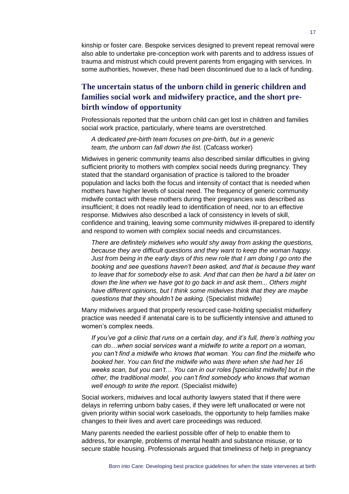kinship or foster care. Bespoke services designed to prevent repeat removal were also able to undertake pre-conception work with parents and to address issues of trauma and mistrust which could prevent parents from engaging with services. In some authorities, however, these had been discontinued due to a lack of funding.

#### **The uncertain status of the unborn child in generic children and families social work and midwifery practice, and the short prebirth window of opportunity**

Professionals reported that the unborn child can get lost in children and families social work practice, particularly, where teams are overstretched.

*A dedicated pre-birth team focuses on pre-birth, but in a generic team, the unborn can fall down the list.* (Cafcass worker)

Midwives in generic community teams also described similar difficulties in giving sufficient priority to mothers with complex social needs during pregnancy. They stated that the standard organisation of practice is tailored to the broader population and lacks both the focus and intensity of contact that is needed when mothers have higher levels of social need. The frequency of generic community midwife contact with these mothers during their pregnancies was described as insufficient; it does not readily lead to identification of need, nor to an effective response. Midwives also described a lack of consistency in levels of skill, confidence and training, leaving some community midwives ill-prepared to identify and respond to women with complex social needs and circumstances.

*There are definitely midwives who would shy away from asking the questions, because they are difficult questions and they want to keep the woman happy. Just from being in the early days of this new role that I am doing I go onto the booking and see questions haven't been asked, and that is because they want to leave that for somebody else to ask. And that can then be hard a bit later on down the line when we have got to go back in and ask them... Others might have different opinions, but I think some midwives think that they are maybe questions that they shouldn't be asking.* (Specialist midwife)

Many midwives argued that properly resourced case-holding specialist midwifery practice was needed if antenatal care is to be sufficiently intensive and attuned to women's complex needs.

*If you've got a clinic that runs on a certain day, and it's full, there's nothing you can do…when social services want a midwife to write a report on a woman, you can't find a midwife who knows that woman. You can find the midwife who booked her. You can find the midwife who was there when she had her 16 weeks scan, but you can't… You can in our roles [specialist midwife] but in the other, the traditional model, you can't find somebody who knows that woman well enough to write the report.* (Specialist midwife)

Social workers, midwives and local authority lawyers stated that if there were delays in referring unborn baby cases, if they were left unallocated or were not given priority within social work caseloads, the opportunity to help families make changes to their lives and avert care proceedings was reduced.

Many parents needed the earliest possible offer of help to enable them to address, for example, problems of mental health and substance misuse, or to secure stable housing. Professionals argued that timeliness of help in pregnancy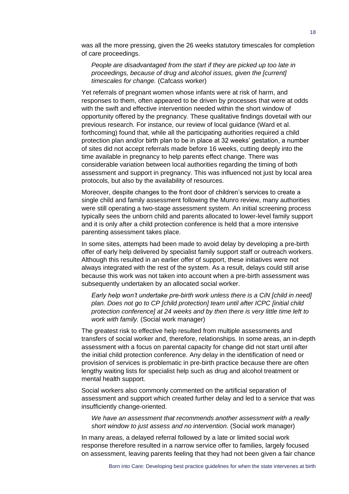was all the more pressing, given the 26 weeks statutory timescales for completion of care proceedings.

*People are disadvantaged from the start if they are picked up too late in proceedings, because of drug and alcohol issues, given the [current] timescales for change.* (Cafcass worker)

Yet referrals of pregnant women whose infants were at risk of harm, and responses to them, often appeared to be driven by processes that were at odds with the swift and effective intervention needed within the short window of opportunity offered by the pregnancy. These qualitative findings dovetail with our previous research. For instance, our review of local guidance (Ward et al. forthcoming) found that, while all the participating authorities required a child protection plan and/or birth plan to be in place at 32 weeks' gestation, a number of sites did not accept referrals made before 16 weeks, cutting deeply into the time available in pregnancy to help parents effect change. There was considerable variation between local authorities regarding the timing of both assessment and support in pregnancy. This was influenced not just by local area protocols, but also by the availability of resources.

Moreover, despite changes to the front door of children's services to create a single child and family assessment following the Munro review, many authorities were still operating a two-stage assessment system. An initial screening process typically sees the unborn child and parents allocated to lower-level family support and it is only after a child protection conference is held that a more intensive parenting assessment takes place.

In some sites, attempts had been made to avoid delay by developing a pre-birth offer of early help delivered by specialist family support staff or outreach workers. Although this resulted in an earlier offer of support, these initiatives were not always integrated with the rest of the system. As a result, delays could still arise because this work was not taken into account when a pre-birth assessment was subsequently undertaken by an allocated social worker.

*Early help won't undertake pre-birth work unless there is a CiN [child in need] plan. Does not go to CP [child protection] team until after ICPC [initial child protection conference] at 24 weeks and by then there is very little time left to work with family.* (Social work manager)

The greatest risk to effective help resulted from multiple assessments and transfers of social worker and, therefore, relationships. In some areas, an in-depth assessment with a focus on parental capacity for change did not start until after the initial child protection conference. Any delay in the identification of need or provision of services is problematic in pre-birth practice because there are often lengthy waiting lists for specialist help such as drug and alcohol treatment or mental health support.

Social workers also commonly commented on the artificial separation of assessment and support which created further delay and led to a service that was insufficiently change-oriented.

*We have an assessment that recommends another assessment with a really short window to just assess and no intervention*. (Social work manager)

In many areas, a delayed referral followed by a late or limited social work response therefore resulted in a narrow service offer to families, largely focused on assessment, leaving parents feeling that they had not been given a fair chance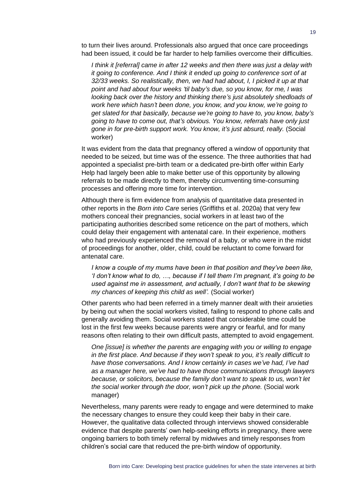to turn their lives around. Professionals also argued that once care proceedings had been issued, it could be far harder to help families overcome their difficulties.

*I think it [referral] came in after 12 weeks and then there was just a delay with it going to conference. And I think it ended up going to conference sort of at 32/33 weeks. So realistically, then, we had had about, I, I picked it up at that point and had about four weeks 'til baby's due, so you know, for me, I was looking back over the history and thinking there's just absolutely shedloads of work here which hasn't been done, you know, and you know, we're going to get slated for that basically, because we're going to have to, you know, baby's going to have to come out, that's obvious. You know, referrals have only just gone in for pre-birth support work. You know, it's just absurd, really.* (Social worker)

It was evident from the data that pregnancy offered a window of opportunity that needed to be seized, but time was of the essence. The three authorities that had appointed a specialist pre-birth team or a dedicated pre-birth offer within Early Help had largely been able to make better use of this opportunity by allowing referrals to be made directly to them, thereby circumventing time-consuming processes and offering more time for intervention.

Although there is firm evidence from analysis of quantitative data presented in other reports in the *Born into Care* series (Griffiths et al. 2020a) that very few mothers conceal their pregnancies, social workers in at least two of the participating authorities described some reticence on the part of mothers, which could delay their engagement with antenatal care. In their experience, mothers who had previously experienced the removal of a baby, or who were in the midst of proceedings for another, older, child, could be reluctant to come forward for antenatal care.

*I know a couple of my mums have been in that position and they've been like, 'I don't know what to do, …, because if I tell them I'm pregnant, it's going to be used against me in assessment, and actually, I don't want that to be skewing my chances of keeping this child as well'.* (Social worker)

Other parents who had been referred in a timely manner dealt with their anxieties by being out when the social workers visited, failing to respond to phone calls and generally avoiding them. Social workers stated that considerable time could be lost in the first few weeks because parents were angry or fearful, and for many reasons often relating to their own difficult pasts, attempted to avoid engagement.

*One [issue] is whether the parents are engaging with you or willing to engage in the first place. And because if they won't speak to you, it's really difficult to have those conversations. And I know certainly in cases we've had, I've had as a manager here, we've had to have those communications through lawyers because, or solicitors, because the family don't want to speak to us, won't let the social worker through the door, won't pick up the phone.* (Social work manager)

Nevertheless, many parents were ready to engage and were determined to make the necessary changes to ensure they could keep their baby in their care. However, the qualitative data collected through interviews showed considerable evidence that despite parents' own help-seeking efforts in pregnancy, there were ongoing barriers to both timely referral by midwives and timely responses from children's social care that reduced the pre-birth window of opportunity.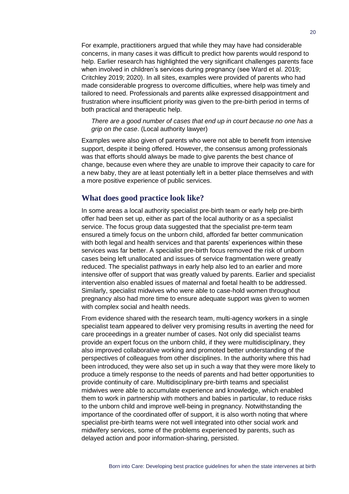For example, practitioners argued that while they may have had considerable concerns, in many cases it was difficult to predict how parents would respond to help. Earlier research has highlighted the very significant challenges parents face when involved in children's services during pregnancy (see Ward et al. 2019; Critchley 2019; 2020). In all sites, examples were provided of parents who had made considerable progress to overcome difficulties, where help was timely and tailored to need. Professionals and parents alike expressed disappointment and frustration where insufficient priority was given to the pre-birth period in terms of both practical and therapeutic help.

*There are a good number of cases that end up in court because no one has a grip on the case*. (Local authority lawyer)

Examples were also given of parents who were not able to benefit from intensive support, despite it being offered. However, the consensus among professionals was that efforts should always be made to give parents the best chance of change, because even where they are unable to improve their capacity to care for a new baby, they are at least potentially left in a better place themselves and with a more positive experience of public services.

#### **What does good practice look like?**

In some areas a local authority specialist pre-birth team or early help pre-birth offer had been set up, either as part of the local authority or as a specialist service. The focus group data suggested that the specialist pre-term team ensured a timely focus on the unborn child, afforded far better communication with both legal and health services and that parents' experiences within these services was far better. A specialist pre-birth focus removed the risk of unborn cases being left unallocated and issues of service fragmentation were greatly reduced. The specialist pathways in early help also led to an earlier and more intensive offer of support that was greatly valued by parents. Earlier and specialist intervention also enabled issues of maternal and foetal health to be addressed. Similarly, specialist midwives who were able to case-hold women throughout pregnancy also had more time to ensure adequate support was given to women with complex social and health needs.

From evidence shared with the research team, multi-agency workers in a single specialist team appeared to deliver very promising results in averting the need for care proceedings in a greater number of cases. Not only did specialist teams provide an expert focus on the unborn child, if they were multidisciplinary, they also improved collaborative working and promoted better understanding of the perspectives of colleagues from other disciplines. In the authority where this had been introduced, they were also set up in such a way that they were more likely to produce a timely response to the needs of parents and had better opportunities to provide continuity of care. Multidisciplinary pre-birth teams and specialist midwives were able to accumulate experience and knowledge, which enabled them to work in partnership with mothers and babies in particular, to reduce risks to the unborn child and improve well-being in pregnancy. Notwithstanding the importance of the coordinated offer of support, it is also worth noting that where specialist pre-birth teams were not well integrated into other social work and midwifery services, some of the problems experienced by parents, such as delayed action and poor information-sharing, persisted.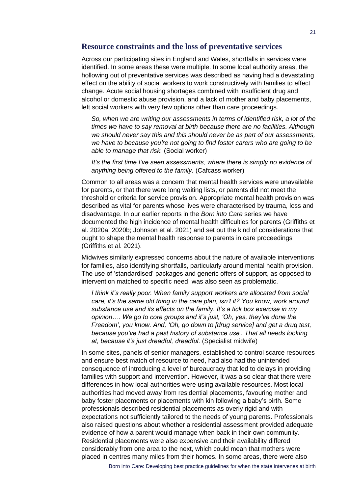#### **Resource constraints and the loss of preventative services**

Across our participating sites in England and Wales, shortfalls in services were identified. In some areas these were multiple. In some local authority areas, the hollowing out of preventative services was described as having had a devastating effect on the ability of social workers to work constructively with families to effect change. Acute social housing shortages combined with insufficient drug and alcohol or domestic abuse provision, and a lack of mother and baby placements, left social workers with very few options other than care proceedings.

*So, when we are writing our assessments in terms of identified risk, a lot of the times we have to say removal at birth because there are no facilities. Although we should never say this and this should never be as part of our assessments, we have to because you're not going to find foster carers who are going to be able to manage that risk.* (Social worker)

*It's the first time I've seen assessments, where there is simply no evidence of anything being offered to the family.* (Cafcass worker)

Common to all areas was a concern that mental health services were unavailable for parents, or that there were long waiting lists, or parents did not meet the threshold or criteria for service provision. Appropriate mental health provision was described as vital for parents whose lives were characterised by trauma, loss and disadvantage. In our earlier reports in the *Born into Care* series we have documented the high incidence of mental health difficulties for parents (Griffiths et al. 2020a, 2020b; Johnson et al. 2021) and set out the kind of considerations that ought to shape the mental health response to parents in care proceedings (Griffiths et al. 2021).

Midwives similarly expressed concerns about the nature of available interventions for families, also identifying shortfalls, particularly around mental health provision. The use of 'standardised' packages and generic offers of support, as opposed to intervention matched to specific need, was also seen as problematic.

*I think it's really poor. When family support workers are allocated from social care, it's the same old thing in the care plan, isn't it? You know, work around substance use and its effects on the family. It's a tick box exercise in my opinion…. We go to core groups and it's just, 'Oh, yes, they've done the Freedom', you know. And, 'Oh, go down to [drug service] and get a drug test, because you've had a past history of substance use'. That all needs looking at, because it's just dreadful, dreadful*. (Specialist midwife)

In some sites, panels of senior managers, established to control scarce resources and ensure best match of resource to need, had also had the unintended consequence of introducing a level of bureaucracy that led to delays in providing families with support and intervention. However, it was also clear that there were differences in how local authorities were using available resources. Most local authorities had moved away from residential placements, favouring mother and baby foster placements or placements with kin following a baby's birth. Some professionals described residential placements as overly rigid and with expectations not sufficiently tailored to the needs of young parents. Professionals also raised questions about whether a residential assessment provided adequate evidence of how a parent would manage when back in their own community. Residential placements were also expensive and their availability differed considerably from one area to the next, which could mean that mothers were placed in centres many miles from their homes. In some areas, there were also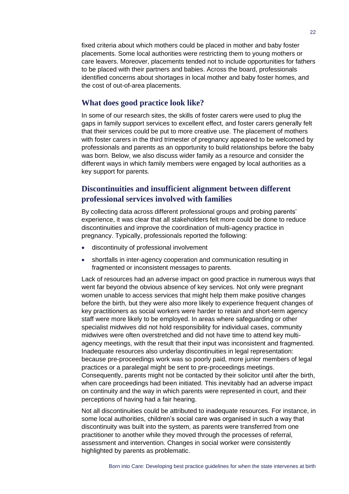fixed criteria about which mothers could be placed in mother and baby foster placements. Some local authorities were restricting them to young mothers or care leavers. Moreover, placements tended not to include opportunities for fathers to be placed with their partners and babies. Across the board, professionals identified concerns about shortages in local mother and baby foster homes, and the cost of out-of-area placements.

#### **What does good practice look like?**

In some of our research sites, the skills of foster carers were used to plug the gaps in family support services to excellent effect, and foster carers generally felt that their services could be put to more creative use. The placement of mothers with foster carers in the third trimester of pregnancy appeared to be welcomed by professionals and parents as an opportunity to build relationships before the baby was born. Below, we also discuss wider family as a resource and consider the different ways in which family members were engaged by local authorities as a key support for parents.

#### **Discontinuities and insufficient alignment between different professional services involved with families**

By collecting data across different professional groups and probing parents' experience, it was clear that all stakeholders felt more could be done to reduce discontinuities and improve the coordination of multi-agency practice in pregnancy. Typically, professionals reported the following:

- discontinuity of professional involvement
- shortfalls in inter-agency cooperation and communication resulting in fragmented or inconsistent messages to parents.

Lack of resources had an adverse impact on good practice in numerous ways that went far beyond the obvious absence of key services. Not only were pregnant women unable to access services that might help them make positive changes before the birth, but they were also more likely to experience frequent changes of key practitioners as social workers were harder to retain and short-term agency staff were more likely to be employed. In areas where safeguarding or other specialist midwives did not hold responsibility for individual cases, community midwives were often overstretched and did not have time to attend key multiagency meetings, with the result that their input was inconsistent and fragmented. Inadequate resources also underlay discontinuities in legal representation: because pre-proceedings work was so poorly paid, more junior members of legal practices or a paralegal might be sent to pre-proceedings meetings. Consequently, parents might not be contacted by their solicitor until after the birth, when care proceedings had been initiated. This inevitably had an adverse impact on continuity and the way in which parents were represented in court, and their perceptions of having had a fair hearing.

Not all discontinuities could be attributed to inadequate resources. For instance, in some local authorities, children's social care was organised in such a way that discontinuity was built into the system, as parents were transferred from one practitioner to another while they moved through the processes of referral, assessment and intervention. Changes in social worker were consistently highlighted by parents as problematic.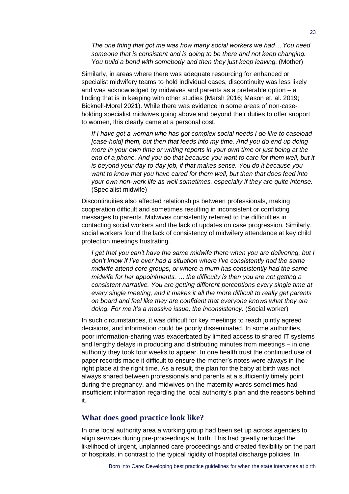*The one thing that got me was how many social workers we had… You need someone that is consistent and is going to be there and not keep changing. You build a bond with somebody and then they just keep leaving.* (Mother)

Similarly, in areas where there was adequate resourcing for enhanced or specialist midwifery teams to hold individual cases, discontinuity was less likely and was acknowledged by midwives and parents as a preferable option – a finding that is in keeping with other studies (Marsh 2016; Mason et. al. 2019; Bicknell-Morel 2021). While there was evidence in some areas of non-caseholding specialist midwives going above and beyond their duties to offer support to women, this clearly came at a personal cost.

*If I have got a woman who has got complex social needs I do like to caseload [case-hold] them, but then that feeds into my time. And you do end up doing more in your own time or writing reports in your own time or just being at the*  end of a phone. And you do that because you want to care for them well, but it *is beyond your day-to-day job, if that makes sense. You do it because you want to know that you have cared for them well, but then that does feed into your own non-work life as well sometimes, especially if they are quite intense.* (Specialist midwife)

Discontinuities also affected relationships between professionals, making cooperation difficult and sometimes resulting in inconsistent or conflicting messages to parents. Midwives consistently referred to the difficulties in contacting social workers and the lack of updates on case progression. Similarly, social workers found the lack of consistency of midwifery attendance at key child protection meetings frustrating.

*I get that you can't have the same midwife there when you are delivering, but I don't know if I've ever had a situation where I've consistently had the same midwife attend core groups, or where a mum has consistently had the same midwife for her appointments. … the difficulty is then you are not getting a consistent narrative. You are getting different perceptions every single time at every single meeting, and it makes it all the more difficult to really get parents on board and feel like they are confident that everyone knows what they are doing. For me it's a massive issue, the inconsistency*. (Social worker)

In such circumstances, it was difficult for key meetings to reach jointly agreed decisions, and information could be poorly disseminated. In some authorities, poor information-sharing was exacerbated by limited access to shared IT systems and lengthy delays in producing and distributing minutes from meetings – in one authority they took four weeks to appear. In one health trust the continued use of paper records made it difficult to ensure the mother's notes were always in the right place at the right time. As a result, the plan for the baby at birth was not always shared between professionals and parents at a sufficiently timely point during the pregnancy, and midwives on the maternity wards sometimes had insufficient information regarding the local authority's plan and the reasons behind it.

#### **What does good practice look like?**

In one local authority area a working group had been set up across agencies to align services during pre-proceedings at birth. This had greatly reduced the likelihood of urgent, unplanned care proceedings and created flexibility on the part of hospitals, in contrast to the typical rigidity of hospital discharge policies. In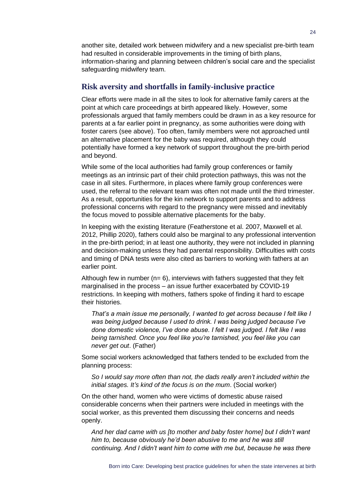another site, detailed work between midwifery and a new specialist pre-birth team had resulted in considerable improvements in the timing of birth plans, information-sharing and planning between children's social care and the specialist safeguarding midwifery team.

#### **Risk aversity and shortfalls in family-inclusive practice**

Clear efforts were made in all the sites to look for alternative family carers at the point at which care proceedings at birth appeared likely. However, some professionals argued that family members could be drawn in as a key resource for parents at a far earlier point in pregnancy, as some authorities were doing with foster carers (see above). Too often, family members were not approached until an alternative placement for the baby was required, although they could potentially have formed a key network of support throughout the pre-birth period and beyond.

While some of the local authorities had family group conferences or family meetings as an intrinsic part of their child protection pathways, this was not the case in all sites. Furthermore, in places where family group conferences were used, the referral to the relevant team was often not made until the third trimester. As a result, opportunities for the kin network to support parents and to address professional concerns with regard to the pregnancy were missed and inevitably the focus moved to possible alternative placements for the baby.

In keeping with the existing literature (Featherstone et al. 2007, Maxwell et al. 2012, Phillip 2020), fathers could also be marginal to any professional intervention in the pre-birth period; in at least one authority, they were not included in planning and decision-making unless they had parental responsibility. Difficulties with costs and timing of DNA tests were also cited as barriers to working with fathers at an earlier point.

Although few in number  $(n= 6)$ , interviews with fathers suggested that they felt marginalised in the process – an issue further exacerbated by COVID-19 restrictions. In keeping with mothers, fathers spoke of finding it hard to escape their histories.

*That's a main issue me personally, I wanted to get across because I felt like I was being judged because I used to drink. I was being judged because I've done domestic violence, I've done abuse. I felt I was judged. I felt like I was being tarnished. Once you feel like you're tarnished, you feel like you can never get out*. (Father)

Some social workers acknowledged that fathers tended to be excluded from the planning process:

*So I would say more often than not, the dads really aren't included within the initial stages. It's kind of the focus is on the mum*. (Social worker)

On the other hand, women who were victims of domestic abuse raised considerable concerns when their partners were included in meetings with the social worker, as this prevented them discussing their concerns and needs openly.

*And her dad came with us [to mother and baby foster home] but I didn't want him to, because obviously he'd been abusive to me and he was still continuing. And I didn't want him to come with me but, because he was there*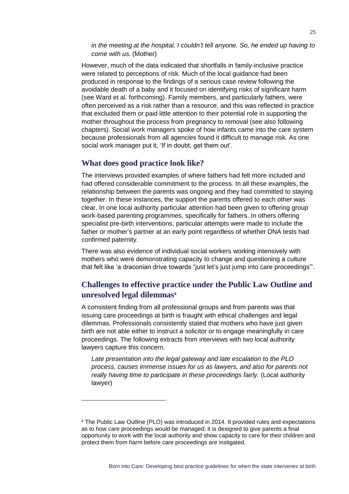*in the meeting at the hospital, I couldn't tell anyone. So, he ended up having to come with us.* (Mother)

However, much of the data indicated that shortfalls in family-inclusive practice were related to perceptions of risk. Much of the local guidance had been produced in response to the findings of a serious case review following the avoidable death of a baby and it focused on identifying risks of significant harm (see Ward et al. forthcoming). Family members, and particularly fathers, were often perceived as a risk rather than a resource, and this was reflected in practice that excluded them or paid little attention to their potential role in supporting the mother throughout the process from pregnancy to removal (see also following chapters). Social work managers spoke of how infants came into the care system because professionals from all agencies found it difficult to manage risk. As one social work manager put it, 'If in doubt, get them out'.

#### **What does good practice look like?**

The interviews provided examples of where fathers had felt more included and had offered considerable commitment to the process. In all these examples, the relationship between the parents was ongoing and they had committed to staying together. In these instances, the support the parents offered to each other was clear. In one local authority particular attention had been given to offering group work-based parenting programmes, specifically for fathers. In others offering specialist pre-birth interventions, particular attempts were made to include the father or mother's partner at an early point regardless of whether DNA tests had confirmed paternity.

There was also evidence of individual social workers working intensively with mothers who were demonstrating capacity to change and questioning a culture that felt like 'a draconian drive towards "just let's just jump into care proceedings"'.

#### **Challenges to effective practice under the Public Law Outline and unresolved legal dilemmas<sup>4</sup>**

A consistent finding from all professional groups and from parents was that issuing care proceedings at birth is fraught with ethical challenges and legal dilemmas. Professionals consistently stated that mothers who have just given birth are not able either to instruct a solicitor or to engage meaningfully in care proceedings. The following extracts from interviews with two local authority lawyers capture this concern.

*Late presentation into the legal gateway and late escalation to the PLO process, causes immense issues for us as lawyers, and also for parents not really having time to participate in these proceedings fairly.* (Local authority lawyer)

The Public Law Outline (PLO) was introduced in 2014. It provided rules and expectations as to how care proceedings would be managed; it is designed to give parents a final opportunity to work with the local authority and show capacity to care for their children and protect them from harm before care proceedings are instigated.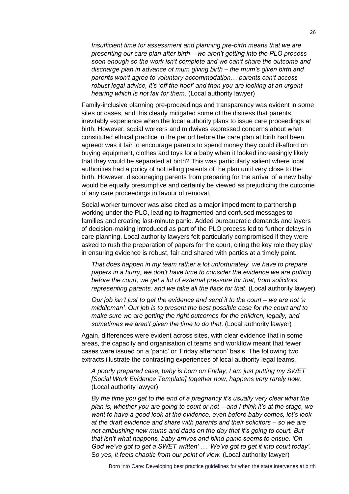*Insufficient time for assessment and planning pre-birth means that we are presenting our care plan after birth – we aren't getting into the PLO process soon enough so the work isn't complete and we can't share the outcome and discharge plan in advance of mum giving birth – the mum's given birth and parents won't agree to voluntary accommodation… parents can't access robust legal advice, it's 'off the hoof' and then you are looking at an urgent hearing which is not fair for them.* (Local authority lawyer)

Family-inclusive planning pre-proceedings and transparency was evident in some sites or cases, and this clearly mitigated some of the distress that parents inevitably experience when the local authority plans to issue care proceedings at birth. However, social workers and midwives expressed concerns about what constituted ethical practice in the period before the care plan at birth had been agreed: was it fair to encourage parents to spend money they could ill-afford on buying equipment, clothes and toys for a baby when it looked increasingly likely that they would be separated at birth? This was particularly salient where local authorities had a policy of not telling parents of the plan until very close to the birth. However, discouraging parents from preparing for the arrival of a new baby would be equally presumptive and certainly be viewed as prejudicing the outcome of any care proceedings in favour of removal.

Social worker turnover was also cited as a major impediment to partnership working under the PLO, leading to fragmented and confused messages to families and creating last-minute panic. Added bureaucratic demands and layers of decision-making introduced as part of the PLO process led to further delays in care planning. Local authority lawyers felt particularly compromised if they were asked to rush the preparation of papers for the court, citing the key role they play in ensuring evidence is robust, fair and shared with parties at a timely point.

*That does happen in my team rather a lot unfortunately, we have to prepare papers in a hurry, we don't have time to consider the evidence we are putting before the court, we get a lot of external pressure for that, from solicitors representing parents, and we take all the flack for that*. (Local authority lawyer)

*Our job isn't just to get the evidence and send it to the court – we are not 'a middleman'. Our job is to present the best possible case for the court and to make sure we are getting the right outcomes for the children, legally, and sometimes we aren't given the time to do that*. (Local authority lawyer)

Again, differences were evident across sites, with clear evidence that in some areas, the capacity and organisation of teams and workflow meant that fewer cases were issued on a 'panic' or 'Friday afternoon' basis. The following two extracts illustrate the contrasting experiences of local authority legal teams.

*A poorly prepared case, baby is born on Friday, I am just putting my SWET [Social Work Evidence Template] together now, happens very rarely now.*  (Local authority lawyer)

*By the time you get to the end of a pregnancy it's usually very clear what the plan is, whether you are going to court or not – and I think it's at the stage, we want to have a good look at the evidence, even before baby comes, let's look at the draft evidence and share with parents and their solicitors – so we are not ambushing new mums and dads on the day that it's going to court. But that isn't what happens, baby arrives and blind panic seems to ensue. 'Oh God we've got to get a SWET written' … 'We've got to get it into court today'.* S*o yes, it feels chaotic from our point of view.* (Local authority lawyer)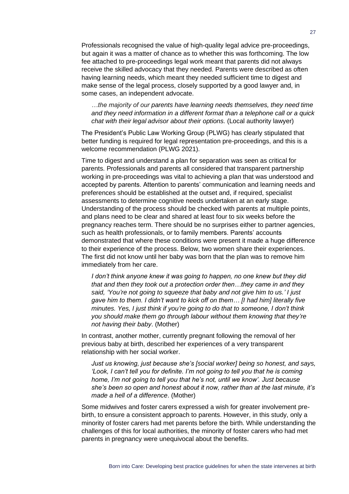Professionals recognised the value of high-quality legal advice pre-proceedings, but again it was a matter of chance as to whether this was forthcoming. The low fee attached to pre-proceedings legal work meant that parents did not always receive the skilled advocacy that they needed. Parents were described as often having learning needs, which meant they needed sufficient time to digest and make sense of the legal process, closely supported by a good lawyer and, in some cases, an independent advocate.

*…the majority of our parents have learning needs themselves, they need time and they need information in a different format than a telephone call or a quick chat with their legal advisor about their options.* (Local authority lawyer)

The President's Public Law Working Group (PLWG) has clearly stipulated that better funding is required for legal representation pre-proceedings, and this is a welcome recommendation (PLWG 2021).

Time to digest and understand a plan for separation was seen as critical for parents. Professionals and parents all considered that transparent partnership working in pre-proceedings was vital to achieving a plan that was understood and accepted by parents. Attention to parents' communication and learning needs and preferences should be established at the outset and, if required, specialist assessments to determine cognitive needs undertaken at an early stage. Understanding of the process should be checked with parents at multiple points, and plans need to be clear and shared at least four to six weeks before the pregnancy reaches term. There should be no surprises either to partner agencies, such as health professionals, or to family members. Parents' accounts demonstrated that where these conditions were present it made a huge difference to their experience of the process. Below, two women share their experiences. The first did not know until her baby was born that the plan was to remove him immediately from her care.

*I don't think anyone knew it was going to happen, no one knew but they did that and then they took out a protection order then…they came in and they said, 'You're not going to squeeze that baby and not give him to us.' I just gave him to them. I didn't want to kick off on them… [I had him] literally five minutes. Yes, I just think if you're going to do that to someone, I don't think you should make them go through labour without them knowing that they're not having their baby*. (Mother)

In contrast, another mother, currently pregnant following the removal of her previous baby at birth, described her experiences of a very transparent relationship with her social worker.

*Just us knowing, just because she's [social worker] being so honest, and says, 'Look, I can't tell you for definite. I'm not going to tell you that he is coming home, I'm not going to tell you that he's not, until we know'. Just because she's been so open and honest about it now, rather than at the last minute, it's made a hell of a difference*. (Mother)

Some midwives and foster carers expressed a wish for greater involvement prebirth, to ensure a consistent approach to parents. However, in this study, only a minority of foster carers had met parents before the birth. While understanding the challenges of this for local authorities, the minority of foster carers who had met parents in pregnancy were unequivocal about the benefits.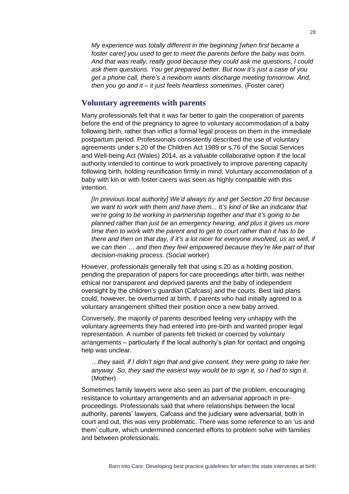*My experience was totally different in the beginning [when first became a foster carer] you used to get to meet the parents before the baby was born. And that was really, really good because they could ask me questions, I could ask them questions. You get prepared better. But now it's just a case of you get a phone call, there's a newborn wants discharge meeting tomorrow. And, then you go and it – it just feels heartless sometimes*. (Foster carer)

#### **Voluntary agreements with parents**

Many professionals felt that it was far better to gain the cooperation of parents before the end of the pregnancy to agree to voluntary accommodation of a baby following birth, rather than inflict a formal legal process on them in the immediate postpartum period. Professionals consistently described the use of voluntary agreements under s.20 of the Children Act 1989 or s.76 of the Social Services and Well-being Act (Wales) 2014, as a valuable collaborative option if the local authority intended to continue to work proactively to improve parenting capacity following birth, holding reunification firmly in mind. Voluntary accommodation of a baby with kin or with foster carers was seen as highly compatible with this intention.

*[In previous local authority] We'd always try and get Section 20 first because we want to work with them and have them... It's kind of like an indicator that we're going to be working in partnership together and that it's going to be planned rather than just be an emergency hearing, and plus it gives us more time then to work with the parent and to get to court rather than it has to be there and then on that day, if it's a lot nicer for everyone involved, us as well, if we can then … and then they feel empowered because they're like part of that decision-making process*. (Social worker)

However, professionals generally felt that using s.20 as a holding position, pending the preparation of papers for care proceedings after birth, was neither ethical nor transparent and deprived parents and the baby of independent oversight by the children's guardian (Cafcass) and the courts. Best laid plans could, however, be overturned at birth, if parents who had initially agreed to a voluntary arrangement shifted their position once a new baby arrived.

Conversely, the majority of parents described feeling very unhappy with the voluntary agreements they had entered into pre-birth and wanted proper legal representation. A number of parents felt tricked or coerced by voluntary arrangements – particularly if the local authority's plan for contact and ongoing help was unclear.

*…they said, if I didn't sign that and give consent, they were going to take her anyway. So, they said the easiest way would be to sign it, so I had to sign it*. (Mother)

Sometimes family lawyers were also seen as part of the problem, encouraging resistance to voluntary arrangements and an adversarial approach in preproceedings. Professionals said that where relationships between the local authority, parents' lawyers, Cafcass and the judiciary were adversarial, both in court and out, this was very problematic. There was some reference to an 'us and them' culture, which undermined concerted efforts to problem solve with families and between professionals.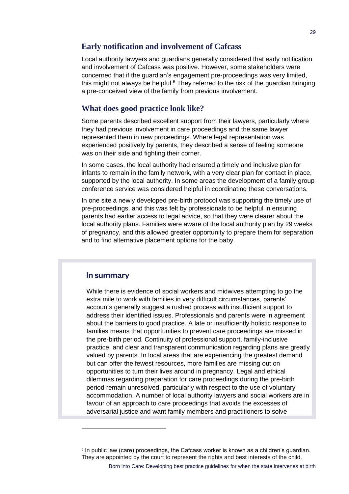#### **Early notification and involvement of Cafcass**

Local authority lawyers and guardians generally considered that early notification and involvement of Cafcass was positive. However, some stakeholders were concerned that if the guardian's engagement pre-proceedings was very limited, this might not always be helpful.<sup>5</sup> They referred to the risk of the guardian bringing a pre-conceived view of the family from previous involvement.

#### **What does good practice look like?**

Some parents described excellent support from their lawyers, particularly where they had previous involvement in care proceedings and the same lawyer represented them in new proceedings. Where legal representation was experienced positively by parents, they described a sense of feeling someone was on their side and fighting their corner.

In some cases, the local authority had ensured a timely and inclusive plan for infants to remain in the family network, with a very clear plan for contact in place, supported by the local authority. In some areas the development of a family group conference service was considered helpful in coordinating these conversations.

In one site a newly developed pre-birth protocol was supporting the timely use of pre-proceedings, and this was felt by professionals to be helpful in ensuring parents had earlier access to legal advice, so that they were clearer about the local authority plans. Families were aware of the local authority plan by 29 weeks of pregnancy, and this allowed greater opportunity to prepare them for separation and to find alternative placement options for the baby.

#### In summary

While there is evidence of social workers and midwives attempting to go the extra mile to work with families in very difficult circumstances, parents' accounts generally suggest a rushed process with insufficient support to address their identified issues. Professionals and parents were in agreement about the barriers to good practice. A late or insufficiently holistic response to families means that opportunities to prevent care proceedings are missed in the pre-birth period. Continuity of professional support, family-inclusive practice, and clear and transparent communication regarding plans are greatly valued by parents. In local areas that are experiencing the greatest demand but can offer the fewest resources, more families are missing out on opportunities to turn their lives around in pregnancy. Legal and ethical dilemmas regarding preparation for care proceedings during the pre-birth period remain unresolved, particularly with respect to the use of voluntary accommodation. A number of local authority lawyers and social workers are in favour of an approach to care proceedings that avoids the excesses of adversarial justice and want family members and practitioners to solve

<sup>5</sup> In public law (care) proceedings, the Cafcass worker is known as a children's guardian. They are appointed by the court to represent the rights and best interests of the child.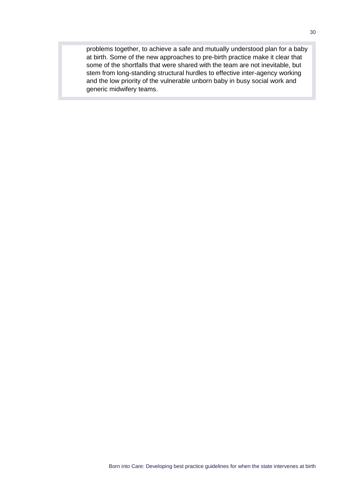problems together, to achieve a safe and mutually understood plan for a baby at birth. Some of the new approaches to pre-birth practice make it clear that some of the shortfalls that were shared with the team are not inevitable, but stem from long-standing structural hurdles to effective inter-agency working and the low priority of the vulnerable unborn baby in busy social work and generic midwifery teams.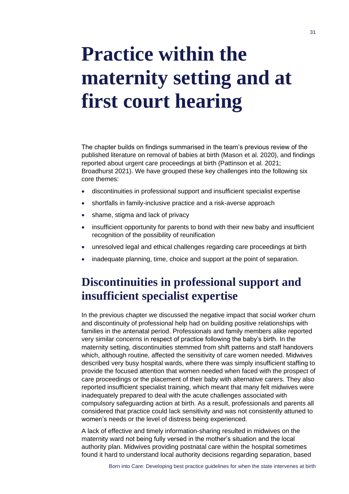## <span id="page-34-0"></span>**Practice within the maternity setting and at first court hearing**

The chapter builds on findings summarised in the team's previous review of the published literature on removal of babies at birth (Mason et al. 2020), and findings reported about urgent care proceedings at birth (Pattinson et al. 2021; Broadhurst 2021). We have grouped these key challenges into the following six core themes:

- discontinuities in professional support and insufficient specialist expertise
- shortfalls in family-inclusive practice and a risk-averse approach
- shame, stigma and lack of privacy
- insufficient opportunity for parents to bond with their new baby and insufficient recognition of the possibility of reunification
- unresolved legal and ethical challenges regarding care proceedings at birth
- inadequate planning, time, choice and support at the point of separation.

## **Discontinuities in professional support and insufficient specialist expertise**

In the previous chapter we discussed the negative impact that social worker churn and discontinuity of professional help had on building positive relationships with families in the antenatal period. Professionals and family members alike reported very similar concerns in respect of practice following the baby's birth. In the maternity setting, discontinuities stemmed from shift patterns and staff handovers which, although routine, affected the sensitivity of care women needed. Midwives described very busy hospital wards, where there was simply insufficient staffing to provide the focused attention that women needed when faced with the prospect of care proceedings or the placement of their baby with alternative carers. They also reported insufficient specialist training, which meant that many felt midwives were inadequately prepared to deal with the acute challenges associated with compulsory safeguarding action at birth. As a result, professionals and parents all considered that practice could lack sensitivity and was not consistently attuned to women's needs or the level of distress being experienced.

A lack of effective and timely information-sharing resulted in midwives on the maternity ward not being fully versed in the mother's situation and the local authority plan. Midwives providing postnatal care within the hospital sometimes found it hard to understand local authority decisions regarding separation, based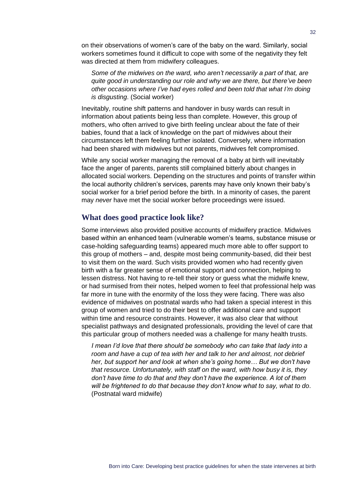on their observations of women's care of the baby on the ward. Similarly, social workers sometimes found it difficult to cope with some of the negativity they felt was directed at them from midwifery colleagues.

*Some of the midwives on the ward, who aren't necessarily a part of that, are quite good in understanding our role and why we are there, but there've been other occasions where I've had eyes rolled and been told that what I'm doing is disgusting*. (Social worker)

Inevitably, routine shift patterns and handover in busy wards can result in information about patients being less than complete. However, this group of mothers, who often arrived to give birth feeling unclear about the fate of their babies, found that a lack of knowledge on the part of midwives about their circumstances left them feeling further isolated. Conversely, where information had been shared with midwives but not parents, midwives felt compromised.

While any social worker managing the removal of a baby at birth will inevitably face the anger of parents, parents still complained bitterly about changes in allocated social workers. Depending on the structures and points of transfer within the local authority children's services, parents may have only known their baby's social worker for a brief period before the birth. In a minority of cases, the parent may *never* have met the social worker before proceedings were issued.

#### **What does good practice look like?**

Some interviews also provided positive accounts of midwifery practice. Midwives based within an enhanced team (vulnerable women's teams, substance misuse or case-holding safeguarding teams) appeared much more able to offer support to this group of mothers – and, despite most being community-based, did their best to visit them on the ward. Such visits provided women who had recently given birth with a far greater sense of emotional support and connection, helping to lessen distress. Not having to re-tell their story or guess what the midwife knew, or had surmised from their notes, helped women to feel that professional help was far more in tune with the enormity of the loss they were facing. There was also evidence of midwives on postnatal wards who had taken a special interest in this group of women and tried to do their best to offer additional care and support within time and resource constraints. However, it was also clear that without specialist pathways and designated professionals, providing the level of care that this particular group of mothers needed was a challenge for many health trusts.

*I mean I'd love that there should be somebody who can take that lady into a room and have a cup of tea with her and talk to her and almost, not debrief her, but support her and look at when she's going home… But we don't have that resource. Unfortunately, with staff on the ward, with how busy it is, they don't have time to do that and they don't have the experience. A lot of them will be frightened to do that because they don't know what to say, what to do*. (Postnatal ward midwife)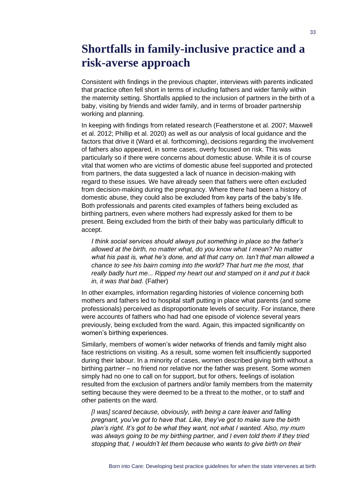## **Shortfalls in family-inclusive practice and a risk-averse approach**

Consistent with findings in the previous chapter, interviews with parents indicated that practice often fell short in terms of including fathers and wider family within the maternity setting. Shortfalls applied to the inclusion of partners in the birth of a baby, visiting by friends and wider family, and in terms of broader partnership working and planning.

In keeping with findings from related research (Featherstone et al. 2007; Maxwell et al. 2012; Phillip et al. 2020) as well as our analysis of local guidance and the factors that drive it (Ward et al. forthcoming), decisions regarding the involvement of fathers also appeared, in some cases, overly focused on risk. This was particularly so if there were concerns about domestic abuse. While it is of course vital that women who are victims of domestic abuse feel supported and protected from partners, the data suggested a lack of nuance in decision-making with regard to these issues. We have already seen that fathers were often excluded from decision-making during the pregnancy. Where there had been a history of domestic abuse, they could also be excluded from key parts of the baby's life. Both professionals and parents cited examples of fathers being excluded as birthing partners, even where mothers had expressly asked for them to be present. Being excluded from the birth of their baby was particularly difficult to accept.

*I think social services should always put something in place so the father's allowed at the birth, no matter what, do you know what I mean? No matter what his past is, what he's done, and all that carry on. Isn't that man allowed a chance to see his bairn coming into the world? That hurt me the most, that really badly hurt me... Ripped my heart out and stamped on it and put it back in, it was that bad*. (Father)

In other examples, information regarding histories of violence concerning both mothers and fathers led to hospital staff putting in place what parents (and some professionals) perceived as disproportionate levels of security. For instance, there were accounts of fathers who had had one episode of violence several years previously, being excluded from the ward. Again, this impacted significantly on women's birthing experiences.

Similarly, members of women's wider networks of friends and family might also face restrictions on visiting. As a result, some women felt insufficiently supported during their labour. In a minority of cases, women described giving birth without a birthing partner – no friend nor relative nor the father was present. Some women simply had no one to call on for support, but for others, feelings of isolation resulted from the exclusion of partners and/or family members from the maternity setting because they were deemed to be a threat to the mother, or to staff and other patients on the ward.

*[I was] scared because, obviously, with being a care leaver and falling pregnant, you've got to have that. Like, they've got to make sure the birth plan's right. It's got to be what they want, not what I wanted. Also, my mum was always going to be my birthing partner, and I even told them if they tried stopping that, I wouldn't let them because who wants to give birth on their*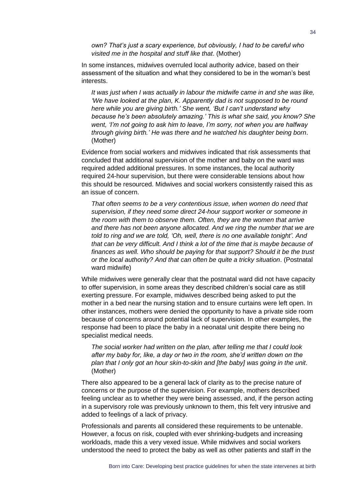*own? That's just a scary experience, but obviously, I had to be careful who visited me in the hospital and stuff like that*. (Mother)

In some instances, midwives overruled local authority advice, based on their assessment of the situation and what they considered to be in the woman's best interests.

*It was just when I was actually in labour the midwife came in and she was like, 'We have looked at the plan, K. Apparently dad is not supposed to be round here while you are giving birth.' She went, 'But I can't understand why because he's been absolutely amazing.' This is what she said, you know? She went, 'I'm not going to ask him to leave, I'm sorry, not when you are halfway through giving birth.' He was there and he watched his daughter being born*. (Mother)

Evidence from social workers and midwives indicated that risk assessments that concluded that additional supervision of the mother and baby on the ward was required added additional pressures. In some instances, the local authority required 24-hour supervision, but there were considerable tensions about how this should be resourced. Midwives and social workers consistently raised this as an issue of concern.

*That often seems to be a very contentious issue, when women do need that supervision, if they need some direct 24-hour support worker or someone in the room with them to observe them. Often, they are the women that arrive and there has not been anyone allocated. And we ring the number that we are told to ring and we are told, 'Oh, well, there is no one available tonight'. And that can be very difficult. And I think a lot of the time that is maybe because of finances as well. Who should be paying for that support? Should it be the trust or the local authority? And that can often be quite a tricky situation*. (Postnatal ward midwife)

While midwives were generally clear that the postnatal ward did not have capacity to offer supervision, in some areas they described children's social care as still exerting pressure. For example, midwives described being asked to put the mother in a bed near the nursing station and to ensure curtains were left open. In other instances, mothers were denied the opportunity to have a private side room because of concerns around potential lack of supervision. In other examples, the response had been to place the baby in a neonatal unit despite there being no specialist medical needs.

*The social worker had written on the plan, after telling me that I could look after my baby for, like, a day or two in the room, she'd written down on the plan that I only got an hour skin-to-skin and [the baby] was going in the unit*. (Mother)

There also appeared to be a general lack of clarity as to the precise nature of concerns or the purpose of the supervision. For example, mothers described feeling unclear as to whether they were being assessed, and, if the person acting in a supervisory role was previously unknown to them, this felt very intrusive and added to feelings of a lack of privacy.

Professionals and parents all considered these requirements to be untenable. However, a focus on risk, coupled with ever shrinking-budgets and increasing workloads, made this a very vexed issue. While midwives and social workers understood the need to protect the baby as well as other patients and staff in the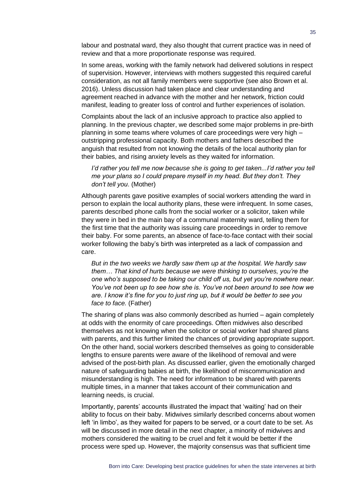labour and postnatal ward, they also thought that current practice was in need of review and that a more proportionate response was required.

In some areas, working with the family network had delivered solutions in respect of supervision. However, interviews with mothers suggested this required careful consideration, as not all family members were supportive (see also Brown et al. 2016). Unless discussion had taken place and clear understanding and agreement reached in advance with the mother and her network, friction could manifest, leading to greater loss of control and further experiences of isolation.

Complaints about the lack of an inclusive approach to practice also applied to planning. In the previous chapter, we described some major problems in pre-birth planning in some teams where volumes of care proceedings were very high – outstripping professional capacity. Both mothers and fathers described the anguish that resulted from not knowing the details of the local authority plan for their babies, and rising anxiety levels as they waited for information.

#### *I'd rather you tell me now because she is going to get taken...I'd rather you tell me your plans so I could prepare myself in my head. But they don't. They don't tell you*. (Mother)

Although parents gave positive examples of social workers attending the ward in person to explain the local authority plans, these were infrequent. In some cases, parents described phone calls from the social worker or a solicitor, taken while they were in bed in the main bay of a communal maternity ward, telling them for the first time that the authority was issuing care proceedings in order to remove their baby. For some parents, an absence of face-to-face contact with their social worker following the baby's birth was interpreted as a lack of compassion and care.

*But in the two weeks we hardly saw them up at the hospital. We hardly saw them… That kind of hurts because we were thinking to ourselves, you're the one who's supposed to be taking our child off us, but yet you're nowhere near. You've not been up to see how she is. You've not been around to see how we are. I know it's fine for you to just ring up, but it would be better to see you face to face.* (Father)

The sharing of plans was also commonly described as hurried – again completely at odds with the enormity of care proceedings. Often midwives also described themselves as not knowing when the solicitor or social worker had shared plans with parents, and this further limited the chances of providing appropriate support. On the other hand, social workers described themselves as going to considerable lengths to ensure parents were aware of the likelihood of removal and were advised of the post-birth plan. As discussed earlier, given the emotionally charged nature of safeguarding babies at birth, the likelihood of miscommunication and misunderstanding is high. The need for information to be shared with parents multiple times, in a manner that takes account of their communication and learning needs, is crucial.

Importantly, parents' accounts illustrated the impact that 'waiting' had on their ability to focus on their baby. Midwives similarly described concerns about women left 'in limbo', as they waited for papers to be served, or a court date to be set. As will be discussed in more detail in the next chapter, a minority of midwives and mothers considered the waiting to be cruel and felt it would be better if the process were sped up. However, the majority consensus was that sufficient time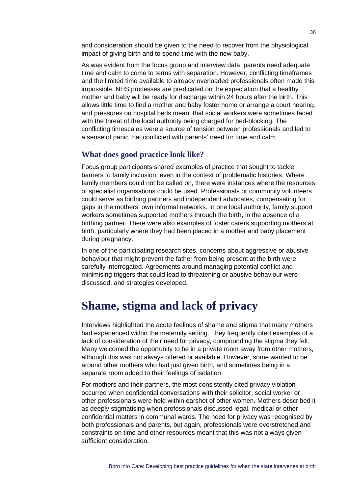and consideration should be given to the need to recover from the physiological impact of giving birth and to spend time with the new baby.

As was evident from the focus group and interview data, parents need adequate time and calm to come to terms with separation. However, conflicting timeframes and the limited time available to already overloaded professionals often made this impossible. NHS processes are predicated on the expectation that a healthy mother and baby will be ready for discharge within 24 hours after the birth. This allows little time to find a mother and baby foster home or arrange a court hearing, and pressures on hospital beds meant that social workers were sometimes faced with the threat of the local authority being charged for bed-blocking. The conflicting timescales were a source of tension between professionals and led to a sense of panic that conflicted with parents' need for time and calm.

#### **What does good practice look like?**

Focus group participants shared examples of practice that sought to tackle barriers to family inclusion, even in the context of problematic histories. Where family members could not be called on, there were instances where the resources of specialist organisations could be used. Professionals or community volunteers could serve as birthing partners and independent advocates, compensating for gaps in the mothers' own informal networks. In one local authority, family support workers sometimes supported mothers through the birth, in the absence of a birthing partner. There were also examples of foster carers supporting mothers at birth, particularly where they had been placed in a mother and baby placement during pregnancy.

In one of the participating research sites, concerns about aggressive or abusive behaviour that might prevent the father from being present at the birth were carefully interrogated. Agreements around managing potential conflict and minimising triggers that could lead to threatening or abusive behaviour were discussed, and strategies developed.

### **Shame, stigma and lack of privacy**

Interviews highlighted the acute feelings of shame and stigma that many mothers had experienced within the maternity setting. They frequently cited examples of a lack of consideration of their need for privacy, compounding the stigma they felt. Many welcomed the opportunity to be in a private room away from other mothers, although this was not always offered or available. However, some wanted to be around other mothers who had just given birth, and sometimes being in a separate room added to their feelings of isolation.

For mothers and their partners, the most consistently cited privacy violation occurred when confidential conversations with their solicitor, social worker or other professionals were held within earshot of other women. Mothers described it as deeply stigmatising when professionals discussed legal, medical or other confidential matters in communal wards. The need for privacy was recognised by both professionals and parents, but again, professionals were overstretched and constraints on time and other resources meant that this was not always given sufficient consideration.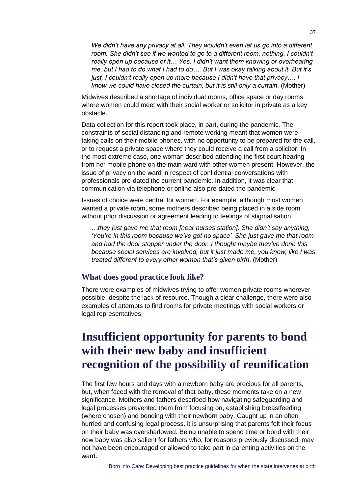*We didn't have any privacy at all. They wouldn't even let us go into a different*  room. She didn't see if we wanted to go to a different room, nothing. I couldn't *really open up because of it… Yes. I didn't want them knowing or overhearing me, but I had to do what I had to do…. But I was okay talking about it. But it's just, I couldn't really open up more because I didn't have that privacy…. I know we could have closed the curtain, but it is still only a curtain*. (Mother)

Midwives described a shortage of individual rooms, office space or day rooms where women could meet with their social worker or solicitor in private as a key obstacle.

Data collection for this report took place, in part, during the pandemic. The constraints of social distancing and remote working meant that women were taking calls on their mobile phones, with no opportunity to be prepared for the call, or to request a private space where they could receive a call from a solicitor. In the most extreme case, one woman described attending the first court hearing from her mobile phone on the main ward with other women present. However, the issue of privacy on the ward in respect of confidential conversations with professionals pre-dated the current pandemic. In addition, it was clear that communication via telephone or online also pre-dated the pandemic.

Issues of choice were central for women. For example, although most women wanted a private room, some mothers described being placed in a side room without prior discussion or agreement leading to feelings of stigmatisation.

*…they just gave me that room [near nurses station]. She didn't say anything, 'You're in this room because we've got no space'. She just gave me that room and had the door stopper under the door. I thought maybe they've done this because social services are involved, but it just made me, you know, like I was treated different to every other woman that's given birth*. (Mother)

#### **What does good practice look like?**

There were examples of midwives trying to offer women private rooms wherever possible, despite the lack of resource. Though a clear challenge, there were also examples of attempts to find rooms for private meetings with social workers or legal representatives.

## **Insufficient opportunity for parents to bond with their new baby and insufficient recognition of the possibility of reunification**

The first few hours and days with a newborn baby are precious for all parents, but, when faced with the removal of that baby, these moments take on a new significance. Mothers and fathers described how navigating safeguarding and legal processes prevented them from focusing on, establishing breastfeeding (where chosen) and bonding with their newborn baby. Caught up in an often hurried and confusing legal process, it is unsurprising that parents felt their focus on their baby was overshadowed. Being unable to spend time or bond with their new baby was also salient for fathers who, for reasons previously discussed, may not have been encouraged or allowed to take part in parenting activities on the ward.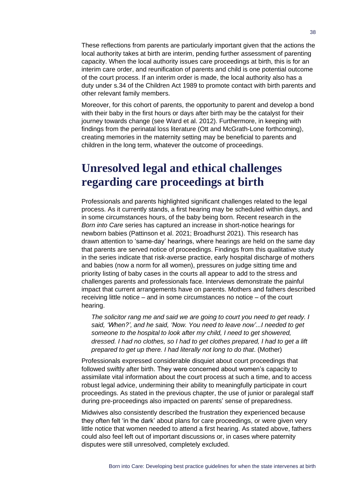These reflections from parents are particularly important given that the actions the local authority takes at birth are interim, pending further assessment of parenting capacity. When the local authority issues care proceedings at birth, this is for an interim care order, and reunification of parents and child is one potential outcome of the court process. If an interim order is made, the local authority also has a duty under s.34 of the Children Act 1989 to promote contact with birth parents and other relevant family members.

Moreover, for this cohort of parents, the opportunity to parent and develop a bond with their baby in the first hours or days after birth may be the catalyst for their journey towards change (see Ward et al. 2012). Furthermore, in keeping with findings from the perinatal loss literature (Ott and McGrath-Lone forthcoming), creating memories in the maternity setting may be beneficial to parents and children in the long term, whatever the outcome of proceedings.

## **Unresolved legal and ethical challenges regarding care proceedings at birth**

Professionals and parents highlighted significant challenges related to the legal process. As it currently stands, a first hearing may be scheduled within days, and in some circumstances hours, of the baby being born. Recent research in the *Born into Care* series has captured an increase in short-notice hearings for newborn babies (Pattinson et al. 2021; Broadhurst 2021). This research has drawn attention to 'same-day' hearings, where hearings are held on the same day that parents are served notice of proceedings. Findings from this qualitative study in the series indicate that risk-averse practice, early hospital discharge of mothers and babies (now a norm for all women), pressures on judge sitting time and priority listing of baby cases in the courts all appear to add to the stress and challenges parents and professionals face. Interviews demonstrate the painful impact that current arrangements have on parents. Mothers and fathers described receiving little notice – and in some circumstances no notice – of the court hearing.

*The solicitor rang me and said we are going to court you need to get ready. I said, 'When?', and he said, 'Now. You need to leave now'...I needed to get someone to the hospital to look after my child, I need to get showered, dressed. I had no clothes, so I had to get clothes prepared, I had to get a lift prepared to get up there. I had literally not long to do that*. (Mother)

Professionals expressed considerable disquiet about court proceedings that followed swiftly after birth. They were concerned about women's capacity to assimilate vital information about the court process at such a time, and to access robust legal advice, undermining their ability to meaningfully participate in court proceedings. As stated in the previous chapter, the use of junior or paralegal staff during pre-proceedings also impacted on parents' sense of preparedness.

Midwives also consistently described the frustration they experienced because they often felt 'in the dark' about plans for care proceedings, or were given very little notice that women needed to attend a first hearing. As stated above, fathers could also feel left out of important discussions or, in cases where paternity disputes were still unresolved, completely excluded.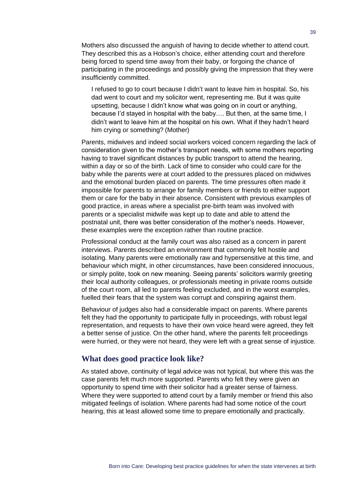Mothers also discussed the anguish of having to decide whether to attend court. They described this as a Hobson's choice, either attending court and therefore being forced to spend time away from their baby, or forgoing the chance of participating in the proceedings and possibly giving the impression that they were insufficiently committed.

I refused to go to court because I didn't want to leave him in hospital. So, his dad went to court and my solicitor went, representing me. But it was quite upsetting, because I didn't know what was going on in court or anything, because I'd stayed in hospital with the baby…. But then, at the same time, I didn't want to leave him at the hospital on his own. What if they hadn't heard him crying or something? (Mother)

Parents, midwives and indeed social workers voiced concern regarding the lack of consideration given to the mother's transport needs, with some mothers reporting having to travel significant distances by public transport to attend the hearing, within a day or so of the birth. Lack of time to consider who could care for the baby while the parents were at court added to the pressures placed on midwives and the emotional burden placed on parents. The time pressures often made it impossible for parents to arrange for family members or friends to either support them or care for the baby in their absence. Consistent with previous examples of good practice, in areas where a specialist pre-birth team was involved with parents or a specialist midwife was kept up to date and able to attend the postnatal unit, there was better consideration of the mother's needs. However, these examples were the exception rather than routine practice.

Professional conduct at the family court was also raised as a concern in parent interviews. Parents described an environment that commonly felt hostile and isolating. Many parents were emotionally raw and hypersensitive at this time, and behaviour which might, in other circumstances, have been considered innocuous, or simply polite, took on new meaning. Seeing parents' solicitors warmly greeting their local authority colleagues, or professionals meeting in private rooms outside of the court room, all led to parents feeling excluded, and in the worst examples, fuelled their fears that the system was corrupt and conspiring against them.

Behaviour of judges also had a considerable impact on parents. Where parents felt they had the opportunity to participate fully in proceedings, with robust legal representation, and requests to have their own voice heard were agreed, they felt a better sense of justice. On the other hand, where the parents felt proceedings were hurried, or they were not heard, they were left with a great sense of injustice.

#### **What does good practice look like?**

As stated above, continuity of legal advice was not typical, but where this was the case parents felt much more supported. Parents who felt they were given an opportunity to spend time with their solicitor had a greater sense of fairness. Where they were supported to attend court by a family member or friend this also mitigated feelings of isolation. Where parents had had some notice of the court hearing, this at least allowed some time to prepare emotionally and practically.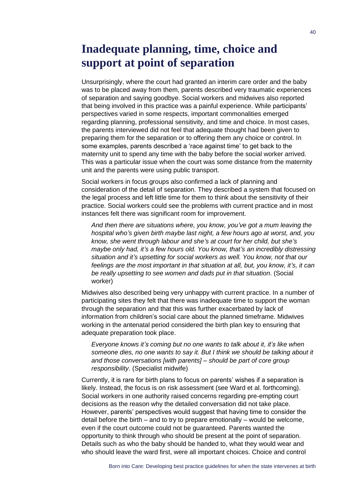## **Inadequate planning, time, choice and support at point of separation**

Unsurprisingly, where the court had granted an interim care order and the baby was to be placed away from them, parents described very traumatic experiences of separation and saying goodbye. Social workers and midwives also reported that being involved in this practice was a painful experience. While participants' perspectives varied in some respects, important commonalities emerged regarding planning, professional sensitivity, and time and choice. In most cases, the parents interviewed did not feel that adequate thought had been given to preparing them for the separation or to offering them any choice or control. In some examples, parents described a 'race against time' to get back to the maternity unit to spend any time with the baby before the social worker arrived. This was a particular issue when the court was some distance from the maternity unit and the parents were using public transport.

Social workers in focus groups also confirmed a lack of planning and consideration of the detail of separation. They described a system that focused on the legal process and left little time for them to think about the sensitivity of their practice. Social workers could see the problems with current practice and in most instances felt there was significant room for improvement.

*And then there are situations where, you know, you've got a mum leaving the hospital who's given birth maybe last night, a few hours ago at worst, and, you know, she went through labour and she's at court for her child, but she's maybe only had, it's a few hours old. You know, that's an incredibly distressing situation and it's upsetting for social workers as well. You know, not that our feelings are the most important in that situation at all, but, you know, it's, it can be really upsetting to see women and dads put in that situation*. (Social worker)

Midwives also described being very unhappy with current practice. In a number of participating sites they felt that there was inadequate time to support the woman through the separation and that this was further exacerbated by lack of information from children's social care about the planned timeframe. Midwives working in the antenatal period considered the birth plan key to ensuring that adequate preparation took place.

*Everyone knows it's coming but no one wants to talk about it, it's like when someone dies, no one wants to say it. But I think we should be talking about it and those conversations [with parents] – should be part of core group responsibility*. (Specialist midwife)

Currently, it is rare for birth plans to focus on parents' wishes if a separation is likely. Instead, the focus is on risk assessment (see Ward et al. forthcoming). Social workers in one authority raised concerns regarding pre-empting court decisions as the reason why the detailed conversation did not take place. However, parents' perspectives would suggest that having time to consider the detail before the birth – and to try to prepare emotionally – would be welcome, even if the court outcome could not be guaranteed. Parents wanted the opportunity to think through who should be present at the point of separation. Details such as who the baby should be handed to, what they would wear and who should leave the ward first, were all important choices. Choice and control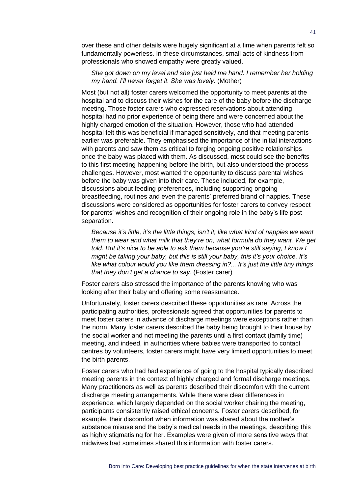over these and other details were hugely significant at a time when parents felt so fundamentally powerless. In these circumstances, small acts of kindness from professionals who showed empathy were greatly valued.

#### *She got down on my level and she just held me hand. I remember her holding my hand. I'll never forget it. She was lovely*. (Mother)

Most (but not all) foster carers welcomed the opportunity to meet parents at the hospital and to discuss their wishes for the care of the baby before the discharge meeting. Those foster carers who expressed reservations about attending hospital had no prior experience of being there and were concerned about the highly charged emotion of the situation. However, those who had attended hospital felt this was beneficial if managed sensitively, and that meeting parents earlier was preferable. They emphasised the importance of the initial interactions with parents and saw them as critical to forging ongoing positive relationships once the baby was placed with them. As discussed, most could see the benefits to this first meeting happening before the birth, but also understood the process challenges. However, most wanted the opportunity to discuss parental wishes before the baby was given into their care. These included, for example, discussions about feeding preferences, including supporting ongoing breastfeeding, routines and even the parents' preferred brand of nappies. These discussions were considered as opportunities for foster carers to convey respect for parents' wishes and recognition of their ongoing role in the baby's life post separation.

*Because it's little, it's the little things, isn't it, like what kind of nappies we want them to wear and what milk that they're on, what formula do they want. We get told. But it's nice to be able to ask them because you're still saying, I know I might be taking your baby, but this is still your baby, this it's your choice. It's like what colour would you like them dressing in?... It's just the little tiny things that they don't get a chance to say*. (Foster carer)

Foster carers also stressed the importance of the parents knowing who was looking after their baby and offering some reassurance.

Unfortunately, foster carers described these opportunities as rare. Across the participating authorities, professionals agreed that opportunities for parents to meet foster carers in advance of discharge meetings were exceptions rather than the norm. Many foster carers described the baby being brought to their house by the social worker and not meeting the parents until a first contact (family time) meeting, and indeed, in authorities where babies were transported to contact centres by volunteers, foster carers might have very limited opportunities to meet the birth parents.

Foster carers who had had experience of going to the hospital typically described meeting parents in the context of highly charged and formal discharge meetings. Many practitioners as well as parents described their discomfort with the current discharge meeting arrangements. While there were clear differences in experience, which largely depended on the social worker chairing the meeting, participants consistently raised ethical concerns. Foster carers described, for example, their discomfort when information was shared about the mother's substance misuse and the baby's medical needs in the meetings, describing this as highly stigmatising for her. Examples were given of more sensitive ways that midwives had sometimes shared this information with foster carers.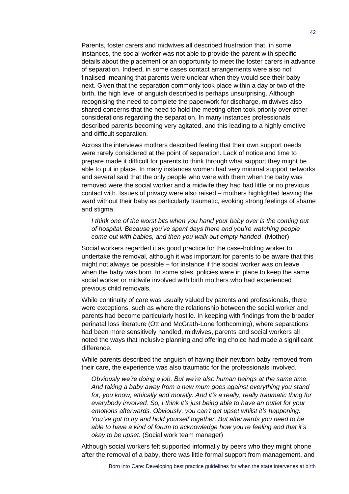Parents, foster carers and midwives all described frustration that, in some instances, the social worker was not able to provide the parent with specific details about the placement or an opportunity to meet the foster carers in advance of separation. Indeed, in some cases contact arrangements were also not finalised, meaning that parents were unclear when they would see their baby next. Given that the separation commonly took place within a day or two of the birth, the high level of anguish described is perhaps unsurprising. Although recognising the need to complete the paperwork for discharge, midwives also shared concerns that the need to hold the meeting often took priority over other considerations regarding the separation. In many instances professionals described parents becoming very agitated, and this leading to a highly emotive and difficult separation.

Across the interviews mothers described feeling that their own support needs were rarely considered at the point of separation. Lack of notice and time to prepare made it difficult for parents to think through what support they might be able to put in place. In many instances women had very minimal support networks and several said that the only people who were with them when the baby was removed were the social worker and a midwife they had had little or no previous contact with. Issues of privacy were also raised – mothers highlighted leaving the ward without their baby as particularly traumatic, evoking strong feelings of shame and stigma.

*I think one of the worst bits when you hand your baby over is the coming out of hospital. Because you've spent days there and you're watching people come out with babies, and then you walk out empty handed*. (Mother)

Social workers regarded it as good practice for the case-holding worker to undertake the removal, although it was important for parents to be aware that this might not always be possible – for instance if the social worker was on leave when the baby was born. In some sites, policies were in place to keep the same social worker or midwife involved with birth mothers who had experienced previous child removals.

While continuity of care was usually valued by parents and professionals, there were exceptions, such as where the relationship between the social worker and parents had become particularly hostile. In keeping with findings from the broader perinatal loss literature (Ott and McGrath-Lone forthcoming), where separations had been more sensitively handled, midwives, parents and social workers all noted the ways that inclusive planning and offering choice had made a significant difference.

While parents described the anguish of having their newborn baby removed from their care, the experience was also traumatic for the professionals involved.

*Obviously we're doing a job. But we're also human beings at the same time. And taking a baby away from a new mum goes against everything you stand for, you know, ethically and morally. And it's a really, really traumatic thing for everybody involved. So, I think it's just being able to have an outlet for your emotions afterwards. Obviously, you can't get upset whilst it's happening. You've got to try and hold yourself together. But afterwards you need to be able to have a kind of forum to acknowledge how you're feeling and that it's okay to be upset*. (Social work team manager)

Although social workers felt supported informally by peers who they might phone after the removal of a baby, there was little formal support from management, and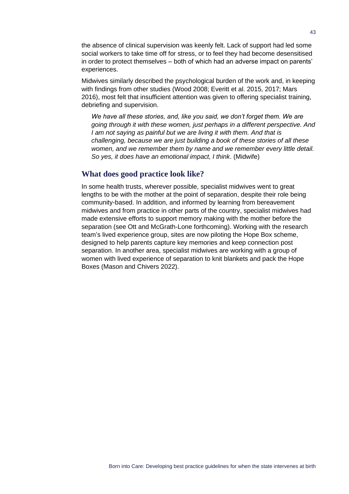the absence of clinical supervision was keenly felt. Lack of support had led some social workers to take time off for stress, or to feel they had become desensitised in order to protect themselves – both of which had an adverse impact on parents' experiences.

Midwives similarly described the psychological burden of the work and, in keeping with findings from other studies (Wood 2008; Everitt et al. 2015, 2017; Mars 2016), most felt that insufficient attention was given to offering specialist training, debriefing and supervision.

*We have all these stories, and, like you said, we don't forget them. We are going through it with these women, just perhaps in a different perspective. And I am not saying as painful but we are living it with them. And that is challenging, because we are just building a book of these stories of all these women, and we remember them by name and we remember every little detail. So yes, it does have an emotional impact, I think*. (Midwife)

#### **What does good practice look like?**

In some health trusts, wherever possible, specialist midwives went to great lengths to be with the mother at the point of separation, despite their role being community-based. In addition, and informed by learning from bereavement midwives and from practice in other parts of the country, specialist midwives had made extensive efforts to support memory making with the mother before the separation (see Ott and McGrath-Lone forthcoming). Working with the research team's lived experience group, sites are now piloting the Hope Box scheme, designed to help parents capture key memories and keep connection post separation. In another area, specialist midwives are working with a group of women with lived experience of separation to knit blankets and pack the Hope Boxes (Mason and Chivers 2022).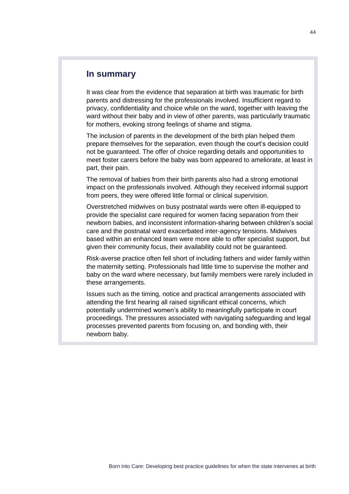#### **In summary**

It was clear from the evidence that separation at birth was traumatic for birth parents and distressing for the professionals involved. Insufficient regard to privacy, confidentiality and choice while on the ward, together with leaving the ward without their baby and in view of other parents, was particularly traumatic for mothers, evoking strong feelings of shame and stigma.

The inclusion of parents in the development of the birth plan helped them prepare themselves for the separation, even though the court's decision could not be guaranteed. The offer of choice regarding details and opportunities to meet foster carers before the baby was born appeared to ameliorate, at least in part, their pain.

The removal of babies from their birth parents also had a strong emotional impact on the professionals involved. Although they received informal support from peers, they were offered little formal or clinical supervision.

Overstretched midwives on busy postnatal wards were often ill-equipped to provide the specialist care required for women facing separation from their newborn babies, and inconsistent information-sharing between children's social care and the postnatal ward exacerbated inter-agency tensions. Midwives based within an enhanced team were more able to offer specialist support, but given their community focus, their availability could not be guaranteed.

Risk-averse practice often fell short of including fathers and wider family within the maternity setting. Professionals had little time to supervise the mother and baby on the ward where necessary, but family members were rarely included in these arrangements.

Issues such as the timing, notice and practical arrangements associated with attending the first hearing all raised significant ethical concerns, which potentially undermined women's ability to meaningfully participate in court proceedings. The pressures associated with navigating safeguarding and legal processes prevented parents from focusing on, and bonding with, their newborn baby.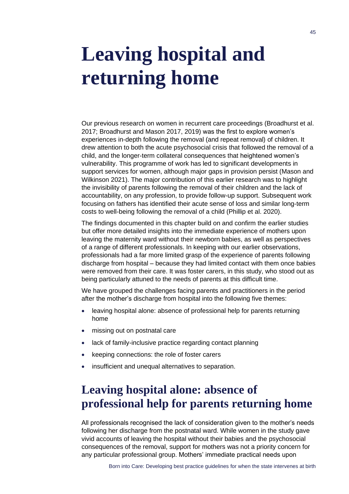## <span id="page-48-0"></span>**Leaving hospital and returning home**

Our previous research on women in recurrent care proceedings (Broadhurst et al. 2017; Broadhurst and Mason 2017, 2019) was the first to explore women's experiences in-depth following the removal (and repeat removal) of children. It drew attention to both the acute psychosocial crisis that followed the removal of a child, and the longer-term collateral consequences that heightened women's vulnerability. This programme of work has led to significant developments in support services for women, although major gaps in provision persist (Mason and Wilkinson 2021). The major contribution of this earlier research was to highlight the invisibility of parents following the removal of their children and the lack of accountability, on any profession, to provide follow-up support. Subsequent work focusing on fathers has identified their acute sense of loss and similar long-term costs to well-being following the removal of a child (Phillip et al. 2020).

The findings documented in this chapter build on and confirm the earlier studies but offer more detailed insights into the immediate experience of mothers upon leaving the maternity ward without their newborn babies, as well as perspectives of a range of different professionals. In keeping with our earlier observations, professionals had a far more limited grasp of the experience of parents following discharge from hospital – because they had limited contact with them once babies were removed from their care. It was foster carers, in this study, who stood out as being particularly attuned to the needs of parents at this difficult time.

We have grouped the challenges facing parents and practitioners in the period after the mother's discharge from hospital into the following five themes:

- leaving hospital alone: absence of professional help for parents returning home
- missing out on postnatal care
- lack of family-inclusive practice regarding contact planning
- keeping connections: the role of foster carers
- insufficient and unequal alternatives to separation.

## **Leaving hospital alone: absence of professional help for parents returning home**

All professionals recognised the lack of consideration given to the mother's needs following her discharge from the postnatal ward. While women in the study gave vivid accounts of leaving the hospital without their babies and the psychosocial consequences of the removal, support for mothers was not a priority concern for any particular professional group. Mothers' immediate practical needs upon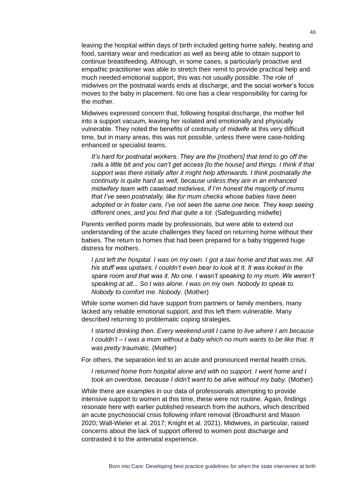leaving the hospital within days of birth included getting home safely, heating and food, sanitary wear and medication as well as being able to obtain support to continue breastfeeding. Although, in some cases, a particularly proactive and empathic practitioner was able to stretch their remit to provide practical help and much needed emotional support, this was not usually possible. The role of midwives on the postnatal wards ends at discharge, and the social worker's focus moves to the baby in placement. No one has a clear responsibility for caring for the mother.

Midwives expressed concern that, following hospital discharge, the mother fell into a support vacuum, leaving her isolated and emotionally and physically vulnerable. They noted the benefits of continuity of midwife at this very difficult time, but in many areas, this was not possible, unless there were case-holding enhanced or specialist teams.

*It's hard for postnatal workers. They are the [mothers] that tend to go off the rails a little bit and you can't get access [to the house] and things. I think if that support was there initially after it might help afterwards. I think postnatally the continuity is quite hard as well, because unless they are in an enhanced midwifery team with caseload midwives, if I'm honest the majority of mums that I've seen postnatally, like for mum checks whose babies have been adopted or in foster care, I've not seen the same one twice. They keep seeing different ones, and you find that quite a lot*. (Safeguarding midwife)

Parents verified points made by professionals, but were able to extend our understanding of the acute challenges they faced on returning home without their babies. The return to homes that had been prepared for a baby triggered huge distress for mothers.

*I just left the hospital. I was on my own. I got a taxi home and that was me. All his stuff was upstairs. I couldn't even bear to look at it. It was locked in the spare room and that was it. No one. I wasn't speaking to my mum. We weren't speaking at all... So I was alone. I was on my own. Nobody to speak to. Nobody to comfort me. Nobody*. (Mother)

While some women did have support from partners or family members, many lacked any reliable emotional support, and this left them vulnerable. Many described returning to problematic coping strategies.

*I started drinking then. Every weekend until I came to live where I am because I couldn't – I was a mum without a baby which no mum wants to be like that. It was pretty traumatic.* (Mother)

For others, the separation led to an acute and pronounced mental health crisis.

*I returned home from hospital alone and with no support. I went home and I took an overdose, because I didn't want to be alive without my baby.* (Mother)

While there are examples in our data of professionals attempting to provide intensive support to women at this time, these were not routine. Again, findings resonate here with earlier published research from the authors, which described an acute psychosocial crisis following infant removal (Broadhurst and Mason 2020; Wall-Wieler et al. 2017; Knight et al. 2021). Midwives, in particular, raised concerns about the lack of support offered to women post discharge and contrasted it to the antenatal experience.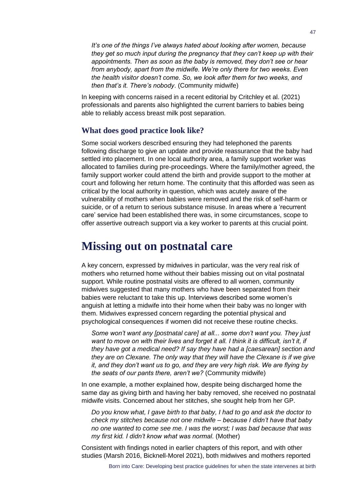*It's one of the things I've always hated about looking after women, because they get so much input during the pregnancy that they can't keep up with their appointments. Then as soon as the baby is removed, they don't see or hear from anybody, apart from the midwife. We're only there for two weeks. Even the health visitor doesn't come. So, we look after them for two weeks, and then that's it. There's nobody*. (Community midwife)

In keeping with concerns raised in a recent editorial by Critchley et al. (2021) professionals and parents also highlighted the current barriers to babies being able to reliably access breast milk post separation.

#### **What does good practice look like?**

Some social workers described ensuring they had telephoned the parents following discharge to give an update and provide reassurance that the baby had settled into placement. In one local authority area, a family support worker was allocated to families during pre-proceedings. Where the family/mother agreed, the family support worker could attend the birth and provide support to the mother at court and following her return home. The continuity that this afforded was seen as critical by the local authority in question, which was acutely aware of the vulnerability of mothers when babies were removed and the risk of self-harm or suicide, or of a return to serious substance misuse. In areas where a 'recurrent care' service had been established there was, in some circumstances, scope to offer assertive outreach support via a key worker to parents at this crucial point.

### **Missing out on postnatal care**

A key concern, expressed by midwives in particular, was the very real risk of mothers who returned home without their babies missing out on vital postnatal support. While routine postnatal visits are offered to all women, community midwives suggested that many mothers who have been separated from their babies were reluctant to take this up. Interviews described some women's anguish at letting a midwife into their home when their baby was no longer with them. Midwives expressed concern regarding the potential physical and psychological consequences if women did not receive these routine checks.

*Some won't want any [postnatal care] at all... some don't want you. They just want to move on with their lives and forget it all. I think it is difficult, isn't it, if they have got a medical need? If say they have had a [caesarean] section and they are on Clexane. The only way that they will have the Clexane is if we give it, and they don't want us to go, and they are very high risk. We are flying by the seats of our pants there, aren't we?* (Community midwife)

In one example, a mother explained how, despite being discharged home the same day as giving birth and having her baby removed, she received no postnatal midwife visits. Concerned about her stitches, she sought help from her GP.

*Do you know what, I gave birth to that baby, I had to go and ask the doctor to check my stitches because not one midwife – because I didn't have that baby no one wanted to come see me. I was the worst; I was bad because that was my first kid. I didn't know what was normal*. (Mother)

Consistent with findings noted in earlier chapters of this report, and with other studies (Marsh 2016, Bicknell-Morel 2021), both midwives and mothers reported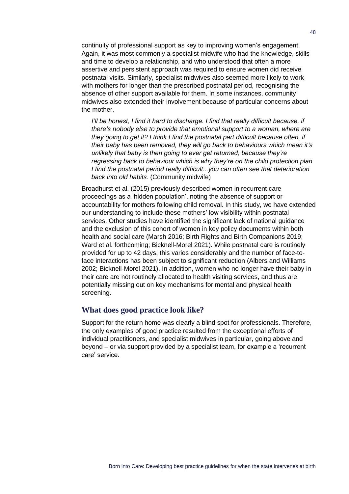continuity of professional support as key to improving women's engagement. Again, it was most commonly a specialist midwife who had the knowledge, skills and time to develop a relationship, and who understood that often a more assertive and persistent approach was required to ensure women did receive postnatal visits. Similarly, specialist midwives also seemed more likely to work with mothers for longer than the prescribed postnatal period, recognising the absence of other support available for them. In some instances, community midwives also extended their involvement because of particular concerns about the mother.

*I'll be honest, I find it hard to discharge. I find that really difficult because, if there's nobody else to provide that emotional support to a woman, where are they going to get it? I think I find the postnatal part difficult because often, if their baby has been removed, they will go back to behaviours which mean it's unlikely that baby is then going to ever get returned, because they're regressing back to behaviour which is why they're on the child protection plan. I find the postnatal period really difficult...you can often see that deterioration back into old habits.* (Community midwife)

Broadhurst et al. (2015) previously described women in recurrent care proceedings as a 'hidden population', noting the absence of support or accountability for mothers following child removal. In this study, we have extended our understanding to include these mothers' low visibility within postnatal services. Other studies have identified the significant lack of national guidance and the exclusion of this cohort of women in key policy documents within both health and social care (Marsh 2016; Birth Rights and Birth Companions 2019; Ward et al. forthcoming; Bicknell-Morel 2021). While postnatal care is routinely provided for up to 42 days, this varies considerably and the number of face-toface interactions has been subject to significant reduction (Albers and Williams 2002; Bicknell-Morel 2021). In addition, women who no longer have their baby in their care are not routinely allocated to health visiting services, and thus are potentially missing out on key mechanisms for mental and physical health screening.

#### **What does good practice look like?**

Support for the return home was clearly a blind spot for professionals. Therefore, the only examples of good practice resulted from the exceptional efforts of individual practitioners, and specialist midwives in particular, going above and beyond – or via support provided by a specialist team, for example a 'recurrent care' service.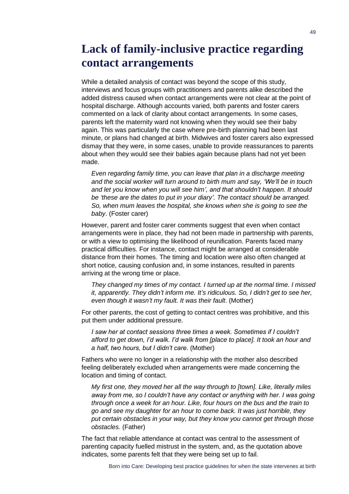## **Lack of family-inclusive practice regarding contact arrangements**

While a detailed analysis of contact was beyond the scope of this study, interviews and focus groups with practitioners and parents alike described the added distress caused when contact arrangements were not clear at the point of hospital discharge. Although accounts varied, both parents and foster carers commented on a lack of clarity about contact arrangements. In some cases, parents left the maternity ward not knowing when they would see their baby again. This was particularly the case where pre-birth planning had been last minute, or plans had changed at birth. Midwives and foster carers also expressed dismay that they were, in some cases, unable to provide reassurances to parents about when they would see their babies again because plans had not yet been made.

*Even regarding family time, you can leave that plan in a discharge meeting and the social worker will turn around to birth mum and say, 'We'll be in touch and let you know when you will see him', and that shouldn't happen. It should*  be 'these are the dates to put in your diary'. The contact should be arranged. *So, when mum leaves the hospital, she knows when she is going to see the baby*. (Foster carer)

However, parent and foster carer comments suggest that even when contact arrangements were in place, they had not been made in partnership with parents, or with a view to optimising the likelihood of reunification. Parents faced many practical difficulties. For instance, contact might be arranged at considerable distance from their homes. The timing and location were also often changed at short notice, causing confusion and, in some instances, resulted in parents arriving at the wrong time or place.

*They changed my times of my contact. I turned up at the normal time. I missed it, apparently. They didn't inform me. It's ridiculous. So, I didn't get to see her, even though it wasn't my fault. It was their fault*. (Mother)

For other parents, the cost of getting to contact centres was prohibitive, and this put them under additional pressure.

*I saw her at contact sessions three times a week. Sometimes if I couldn't afford to get down, I'd walk. I'd walk from [place to place]. It took an hour and a half, two hours, but I didn't care*. (Mother)

Fathers who were no longer in a relationship with the mother also described feeling deliberately excluded when arrangements were made concerning the location and timing of contact.

*My first one, they moved her all the way through to [town]. Like, literally miles away from me, so I couldn't have any contact or anything with her. I was going through once a week for an hour. Like, four hours on the bus and the train to go and see my daughter for an hour to come back. It was just horrible, they put certain obstacles in your way, but they know you cannot get through those obstacles.* (Father)

The fact that reliable attendance at contact was central to the assessment of parenting capacity fuelled mistrust in the system, and, as the quotation above indicates, some parents felt that they were being set up to fail.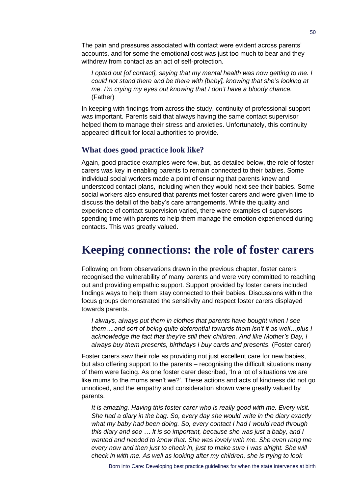The pain and pressures associated with contact were evident across parents' accounts, and for some the emotional cost was just too much to bear and they withdrew from contact as an act of self-protection.

*I opted out [of contact], saying that my mental health was now getting to me. I could not stand there and be there with [baby], knowing that she's looking at me. I'm crying my eyes out knowing that I don't have a bloody chance.* (Father)

In keeping with findings from across the study, continuity of professional support was important. Parents said that always having the same contact supervisor helped them to manage their stress and anxieties. Unfortunately, this continuity appeared difficult for local authorities to provide.

#### **What does good practice look like?**

Again, good practice examples were few, but, as detailed below, the role of foster carers was key in enabling parents to remain connected to their babies. Some individual social workers made a point of ensuring that parents knew and understood contact plans, including when they would next see their babies. Some social workers also ensured that parents met foster carers and were given time to discuss the detail of the baby's care arrangements. While the quality and experience of contact supervision varied, there were examples of supervisors spending time with parents to help them manage the emotion experienced during contacts. This was greatly valued.

### **Keeping connections: the role of foster carers**

Following on from observations drawn in the previous chapter, foster carers recognised the vulnerability of many parents and were very committed to reaching out and providing empathic support. Support provided by foster carers included findings ways to help them stay connected to their babies. Discussions within the focus groups demonstrated the sensitivity and respect foster carers displayed towards parents.

*I always, always put them in clothes that parents have bought when I see them….and sort of being quite deferential towards them isn't it as well…plus I acknowledge the fact that they're still their children. And like Mother's Day, I always buy them presents, birthdays I buy cards and presents.* (Foster carer)

Foster carers saw their role as providing not just excellent care for new babies, but also offering support to the parents – recognising the difficult situations many of them were facing. As one foster carer described, 'In a lot of situations we are like mums to the mums aren't we?'. These actions and acts of kindness did not go unnoticed, and the empathy and consideration shown were greatly valued by parents.

*It is amazing. Having this foster carer who is really good with me. Every visit. She had a diary in the bag. So, every day she would write in the diary exactly what my baby had been doing. So, every contact I had I would read through this diary and see … It is so important, because she was just a baby, and I wanted and needed to know that. She was lovely with me. She even rang me every now and then just to check in, just to make sure I was alright. She will check in with me. As well as looking after my children, she is trying to look*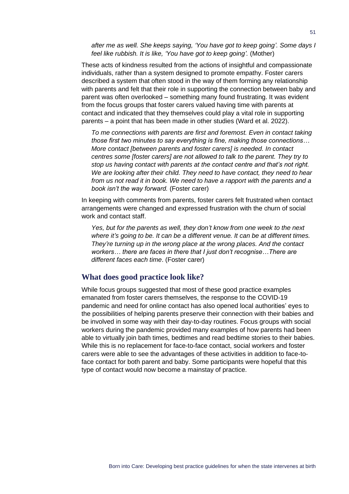*after me as well. She keeps saying, 'You have got to keep going'. Some days I feel like rubbish. It is like, 'You have got to keep going'.* (Mother)

These acts of kindness resulted from the actions of insightful and compassionate individuals, rather than a system designed to promote empathy. Foster carers described a system that often stood in the way of them forming any relationship with parents and felt that their role in supporting the connection between baby and parent was often overlooked – something many found frustrating. It was evident from the focus groups that foster carers valued having time with parents at contact and indicated that they themselves could play a vital role in supporting parents – a point that has been made in other studies (Ward et al. 2022).

*To me connections with parents are first and foremost. Even in contact taking those first two minutes to say everything is fine, making those connections… More contact [between parents and foster carers] is needed. In contact centres some [foster carers] are not allowed to talk to the parent. They try to stop us having contact with parents at the contact centre and that's not right. We are looking after their child. They need to have contact, they need to hear from us not read it in book. We need to have a rapport with the parents and a book isn't the way forward.* (Foster carer)

In keeping with comments from parents, foster carers felt frustrated when contact arrangements were changed and expressed frustration with the churn of social work and contact staff.

*Yes, but for the parents as well, they don't know from one week to the next where it's going to be. It can be a different venue. It can be at different times. They're turning up in the wrong place at the wrong places. And the contact workers… there are faces in there that I just don't recognise…There are different faces each time*. (Foster carer)

#### **What does good practice look like?**

While focus groups suggested that most of these good practice examples emanated from foster carers themselves, the response to the COVID-19 pandemic and need for online contact has also opened local authorities' eyes to the possibilities of helping parents preserve their connection with their babies and be involved in some way with their day-to-day routines. Focus groups with social workers during the pandemic provided many examples of how parents had been able to virtually join bath times, bedtimes and read bedtime stories to their babies. While this is no replacement for face-to-face contact, social workers and foster carers were able to see the advantages of these activities in addition to face-toface contact for both parent and baby. Some participants were hopeful that this type of contact would now become a mainstay of practice.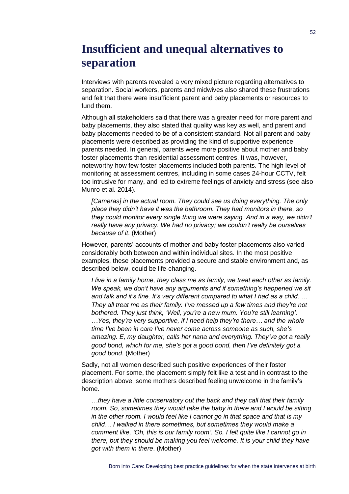## **Insufficient and unequal alternatives to separation**

Interviews with parents revealed a very mixed picture regarding alternatives to separation. Social workers, parents and midwives also shared these frustrations and felt that there were insufficient parent and baby placements or resources to fund them.

Although all stakeholders said that there was a greater need for more parent and baby placements, they also stated that quality was key as well, and parent and baby placements needed to be of a consistent standard. Not all parent and baby placements were described as providing the kind of supportive experience parents needed. In general, parents were more positive about mother and baby foster placements than residential assessment centres. It was, however, noteworthy how few foster placements included both parents. The high level of monitoring at assessment centres, including in some cases 24-hour CCTV, felt too intrusive for many, and led to extreme feelings of anxiety and stress (see also Munro et al. 2014).

*[Cameras] in the actual room. They could see us doing everything. The only place they didn't have it was the bathroom. They had monitors in there, so they could monitor every single thing we were saying. And in a way, we didn't really have any privacy. We had no privacy; we couldn't really be ourselves because of it*. (Mother)

However, parents' accounts of mother and baby foster placements also varied considerably both between and within individual sites. In the most positive examples, these placements provided a secure and stable environment and, as described below, could be life-changing.

*I live in a family home, they class me as family, we treat each other as family. We speak, we don't have any arguments and if something's happened we sit and talk and it's fine. It's very different compared to what I had as a child. … They all treat me as their family. I've messed up a few times and they're not bothered. They just think, 'Well, you're a new mum. You're still learning'. …Yes, they're very supportive, if I need help they're there… and the whole time I've been in care I've never come across someone as such, she's amazing. E, my daughter, calls her nana and everything. They've got a really good bond, which for me, she's got a good bond, then I've definitely got a good bond*. (Mother)

Sadly, not all women described such positive experiences of their foster placement. For some, the placement simply felt like a test and in contrast to the description above, some mothers described feeling unwelcome in the family's home.

*…they have a little conservatory out the back and they call that their family room.* So, sometimes they would take the baby in there and I would be sitting *in the other room. I would feel like I cannot go in that space and that is my child… I walked in there sometimes, but sometimes they would make a comment like, 'Oh, this is our family room'. So, I felt quite like I cannot go in there, but they should be making you feel welcome. It is your child they have got with them in there*. (Mother)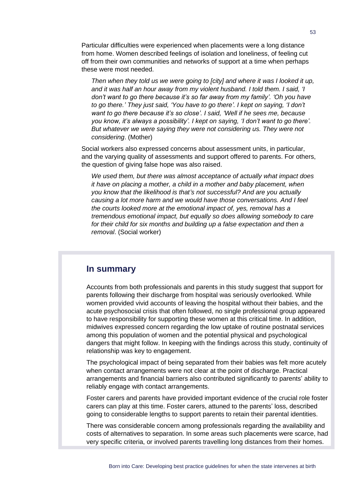Particular difficulties were experienced when placements were a long distance from home. Women described feelings of isolation and loneliness, of feeling cut off from their own communities and networks of support at a time when perhaps these were most needed.

*Then when they told us we were going to [city] and where it was I looked it up, and it was half an hour away from my violent husband. I told them. I said, 'I don't want to go there because it's so far away from my family'. 'Oh you have to go there.' They just said, 'You have to go there'. I kept on saying, 'I don't want to go there because it's so close'. I said, 'Well if he sees me, because you know, it's always a possibility'. I kept on saying, 'I don't want to go there'. But whatever we were saying they were not considering us. They were not considering*. (Mother)

Social workers also expressed concerns about assessment units, in particular, and the varying quality of assessments and support offered to parents. For others, the question of giving false hope was also raised.

*We used them, but there was almost acceptance of actually what impact does it have on placing a mother, a child in a mother and baby placement, when you know that the likelihood is that's not successful? And are you actually causing a lot more harm and we would have those conversations. And I feel the courts looked more at the emotional impact of, yes, removal has a tremendous emotional impact, but equally so does allowing somebody to care for their child for six months and building up a false expectation and then a removal*. (Social worker)

#### **In summary**

Accounts from both professionals and parents in this study suggest that support for parents following their discharge from hospital was seriously overlooked. While women provided vivid accounts of leaving the hospital without their babies, and the acute psychosocial crisis that often followed, no single professional group appeared to have responsibility for supporting these women at this critical time. In addition, midwives expressed concern regarding the low uptake of routine postnatal services among this population of women and the potential physical and psychological dangers that might follow. In keeping with the findings across this study, continuity of relationship was key to engagement.

The psychological impact of being separated from their babies was felt more acutely when contact arrangements were not clear at the point of discharge. Practical arrangements and financial barriers also contributed significantly to parents' ability to reliably engage with contact arrangements.

Foster carers and parents have provided important evidence of the crucial role foster carers can play at this time. Foster carers, attuned to the parents' loss, described going to considerable lengths to support parents to retain their parental identities.

There was considerable concern among professionals regarding the availability and costs of alternatives to separation. In some areas such placements were scarce, had very specific criteria, or involved parents travelling long distances from their homes.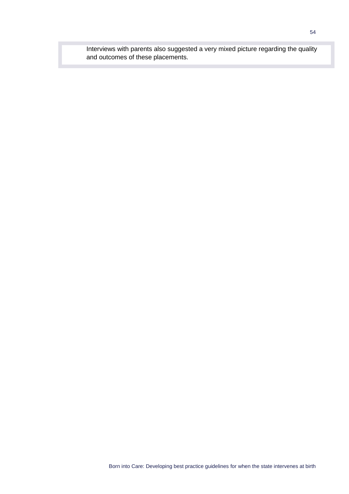Interviews with parents also suggested a very mixed picture regarding the quality and outcomes of these placements.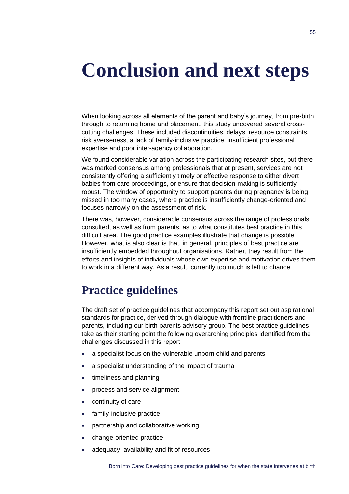## <span id="page-58-0"></span>**Conclusion and next steps**

When looking across all elements of the parent and baby's journey, from pre-birth through to returning home and placement, this study uncovered several crosscutting challenges. These included discontinuities, delays, resource constraints, risk averseness, a lack of family-inclusive practice, insufficient professional expertise and poor inter-agency collaboration.

We found considerable variation across the participating research sites, but there was marked consensus among professionals that at present, services are not consistently offering a sufficiently timely or effective response to either divert babies from care proceedings, or ensure that decision-making is sufficiently robust. The window of opportunity to support parents during pregnancy is being missed in too many cases, where practice is insufficiently change-oriented and focuses narrowly on the assessment of risk.

There was, however, considerable consensus across the range of professionals consulted, as well as from parents, as to what constitutes best practice in this difficult area. The good practice examples illustrate that change is possible. However, what is also clear is that, in general, principles of best practice are insufficiently embedded throughout organisations. Rather, they result from the efforts and insights of individuals whose own expertise and motivation drives them to work in a different way. As a result, currently too much is left to chance.

## **Practice guidelines**

The draft set of practice guidelines that accompany this report set out aspirational standards for practice, derived through dialogue with frontline practitioners and parents, including our birth parents advisory group. The best practice guidelines take as their starting point the following overarching principles identified from the challenges discussed in this report:

- a specialist focus on the vulnerable unborn child and parents
- a specialist understanding of the impact of trauma
- timeliness and planning
- process and service alignment
- continuity of care
- family-inclusive practice
- partnership and collaborative working
- change-oriented practice
- adequacy, availability and fit of resources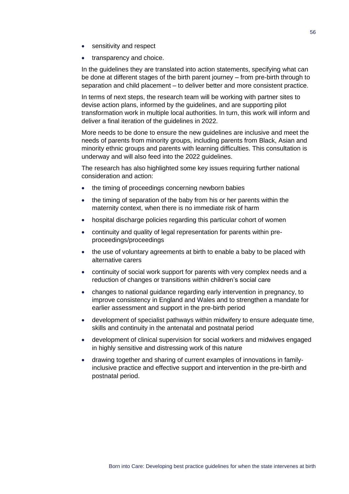- sensitivity and respect
- transparency and choice.

In the guidelines they are translated into action statements, specifying what can be done at different stages of the birth parent journey – from pre-birth through to separation and child placement – to deliver better and more consistent practice.

In terms of next steps, the research team will be working with partner sites to devise action plans, informed by the guidelines, and are supporting pilot transformation work in multiple local authorities. In turn, this work will inform and deliver a final iteration of the guidelines in 2022.

More needs to be done to ensure the new guidelines are inclusive and meet the needs of parents from minority groups, including parents from Black, Asian and minority ethnic groups and parents with learning difficulties. This consultation is underway and will also feed into the 2022 guidelines.

The research has also highlighted some key issues requiring further national consideration and action:

- the timing of proceedings concerning newborn babies
- the timing of separation of the baby from his or her parents within the maternity context, when there is no immediate risk of harm
- hospital discharge policies regarding this particular cohort of women
- continuity and quality of legal representation for parents within preproceedings/proceedings
- the use of voluntary agreements at birth to enable a baby to be placed with alternative carers
- continuity of social work support for parents with very complex needs and a reduction of changes or transitions within children's social care
- changes to national guidance regarding early intervention in pregnancy, to improve consistency in England and Wales and to strengthen a mandate for earlier assessment and support in the pre-birth period
- development of specialist pathways within midwifery to ensure adequate time, skills and continuity in the antenatal and postnatal period
- development of clinical supervision for social workers and midwives engaged in highly sensitive and distressing work of this nature
- drawing together and sharing of current examples of innovations in familyinclusive practice and effective support and intervention in the pre-birth and postnatal period.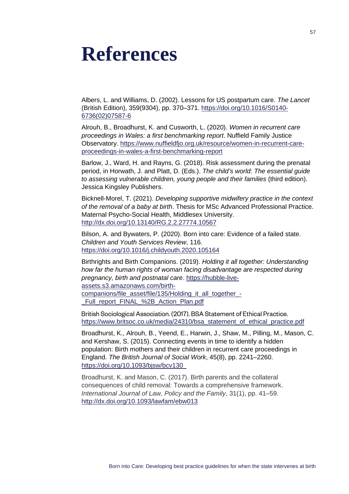## <span id="page-60-0"></span>**References**

Albers, L. and Williams, D. (2002). Lessons for US postpartum care. *The Lancet* (British Edition), 359(9304), pp. 370–371. [https://doi.org/10.1016/S0140-](https://doi.org/10.1016/S0140-6736(02)07587-6) [6736\(02\)07587-6](https://doi.org/10.1016/S0140-6736(02)07587-6)

Alrouh, B., Broadhurst, K. and Cusworth, L. (2020). *Women in recurrent care proceedings in Wales: a first benchmarking report*. Nuffield Family Justice Observatory. [https://www.nuffieldfjo.org.uk/resource/women-in-recurrent-care](https://www.nuffieldfjo.org.uk/resource/women-in-recurrent-care-proceedings-in-wales-a-first-benchmarking-report)[proceedings-in-wales-a-first-benchmarking-report](https://www.nuffieldfjo.org.uk/resource/women-in-recurrent-care-proceedings-in-wales-a-first-benchmarking-report)

Barlow, J., Ward, H. and Rayns, G. (2018). Risk assessment during the prenatal period, in Horwath, J. and Platt, D. (Eds.). *The child's world*: *The essential guide to assessing vulnerable children, young people and their families* (third edition). Jessica Kingsley Publishers.

Bicknell-Morel, T. (2021). *Developing supportive midwifery practice in the context of the removal of a baby at birth*. Thesis for MSc Advanced Professional Practice. Maternal Psycho-Social Health, Middlesex University. <http://dx.doi.org/10.13140/RG.2.2.27774.10567>

Bilson, A. and Bywaters, P. (2020). Born into care: Evidence of a failed state. *Children and Youth Services Review*, 116. <https://doi.org/10.1016/j.childyouth.2020.105164>

Birthrights and Birth Companions. (2019). *Holding it all together: Understanding how far the human rights of woman facing disadvantage are respected during pregnancy, birth and postnatal care*. [https://hubble-live](https://hubble-live-assets.s3.amazonaws.com/birth-companions/file_asset/file/135/Holding_it_all_together_-_Full_report_FINAL_%2B_Action_Plan.pdf)[assets.s3.amazonaws.com/birth](https://hubble-live-assets.s3.amazonaws.com/birth-companions/file_asset/file/135/Holding_it_all_together_-_Full_report_FINAL_%2B_Action_Plan.pdf)[companions/file\\_asset/file/135/Holding\\_it\\_all\\_together\\_-](https://hubble-live-assets.s3.amazonaws.com/birth-companions/file_asset/file/135/Holding_it_all_together_-_Full_report_FINAL_%2B_Action_Plan.pdf) [\\_Full\\_report\\_FINAL\\_%2B\\_Action\\_Plan.pdf](https://hubble-live-assets.s3.amazonaws.com/birth-companions/file_asset/file/135/Holding_it_all_together_-_Full_report_FINAL_%2B_Action_Plan.pdf)

British Sociological Association. (2017). BSA Statement of Ethical Practice. [https://www.britsoc.co.uk/media/24310/bsa\\_statement\\_of\\_ethical\\_practice.pdf](https://www.britsoc.co.uk/media/24310/bsa_statement_of_ethical_practice.pdf)

Broadhurst, K., Alrouh, B., Yeend, E., Harwin, J., Shaw, M., Pilling, M., Mason, C. and Kershaw, S. (2015). Connecting events in time to identify a hidden population: Birth mothers and their children in recurrent care proceedings in England. *The British Journal of Social Work*, 45(8), pp. 2241–2260. [https://doi.org/10.1093/bjsw/bcv130](https://doi.org/10.1093/bjsw/bcv130%20 ) 

Broadhurst, K. and Mason, C. (2017). Birth parents and the collateral consequences of child removal: Towards a comprehensive framework. *International Journal of Law, Policy and the Family*, 31(1), pp. 41–59. <http://dx.doi.org/10.1093/lawfam/ebw013>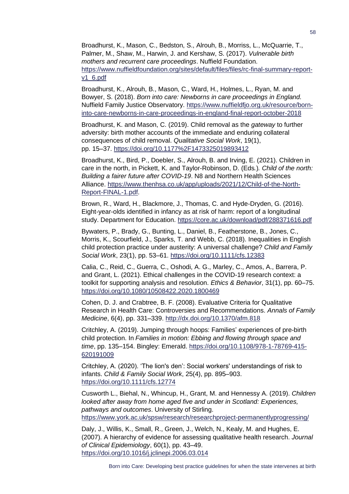Broadhurst, K., Mason, C., Bedston, S., Alrouh, B., Morriss, L., McQuarrie, T., Palmer, M., Shaw, M., Harwin, J. and Kershaw, S. (2017). *Vulnerable birth mothers and recurrent care proceedings*. Nuffield Foundation. [https://www.nuffieldfoundation.org/sites/default/files/files/rc-final-summary-report](https://www.nuffieldfoundation.org/sites/default/files/files/rc-final-summary-report-v1_6.pdf)[v1\\_6.pdf](https://www.nuffieldfoundation.org/sites/default/files/files/rc-final-summary-report-v1_6.pdf)

Broadhurst, K., Alrouh, B., Mason, C., Ward, H., Holmes, L., Ryan, M. and Bowyer, S. (2018). *Born into care: Newborns in care proceedings in England.* Nuffield Family Justice Observatory. [https://www.nuffieldfjo.org.uk/resource/born](https://www.nuffieldfjo.org.uk/resource/born-into-care-newborns-in-care-proceedings-in-england-final-report-october-2018)[into-care-newborns-in-care-proceedings-in-england-final-report-october-2018](https://www.nuffieldfjo.org.uk/resource/born-into-care-newborns-in-care-proceedings-in-england-final-report-october-2018)

Broadhurst, K. and Mason, C. (2019). Child removal as the *gateway* to further adversity: birth mother accounts of the immediate and enduring collateral consequences of child removal. *Qualitative Social Work*, 19(1), pp. 15–37.<https://doi.org/10.1177%2F1473325019893412>

Broadhurst, K., Bird, P., Doebler, S., Alrouh, B. and Irving, E. (2021). Children in care in the north, in Pickett, K. and Taylor-Robinson, D. (Eds*.*)*. Child of the north: Building a fairer future after COVID-19*. N8 and Northern Health Sciences Alliance. [https://www.thenhsa.co.uk/app/uploads/2021/12/Child-of-the-North-](https://www.thenhsa.co.uk/app/uploads/2021/12/Child-of-the-North-Report-FINAL-1.pdf)[Report-FINAL-1.pdf.](https://www.thenhsa.co.uk/app/uploads/2021/12/Child-of-the-North-Report-FINAL-1.pdf)

Brown, R., Ward, H., Blackmore, J., Thomas, C. and Hyde-Dryden, G. (2016). Eight-year-olds identified in infancy as at risk of harm: report of a longitudinal study. Department for Education.<https://core.ac.uk/download/pdf/288371616.pdf>

Bywaters, P., Brady, G., Bunting, L., Daniel, B., Featherstone, B., Jones, C., Morris, K., Scourfield, J., Sparks, T. and Webb, C. (2018). Inequalities in English child protection practice under austerity: A universal challenge? *Child and Family Social Work*, 23(1), pp. 53–61. <https://doi.org/10.1111/cfs.12383>

Calia, C., Reid, C., Guerra, C., Oshodi, A. G., Marley, C., Amos, A., Barrera, P. and Grant, L. (2021). Ethical challenges in the COVID-19 research context: a toolkit for supporting analysis and resolution. *Ethics & Behavior*, 31(1), pp. 60–75. <https://doi.org/10.1080/10508422.2020.1800469>

Cohen, D. J. and Crabtree, B. F. (2008). Evaluative Criteria for Qualitative Research in Health Care: Controversies and Recommendations. *Annals of Family Medicine*, 6(4), pp. 331–339. <http://dx.doi.org/10.1370/afm.818>

Critchley, A. (2019). Jumping through hoops: Families' experiences of pre-birth child protection. In *Families in motion: Ebbing and flowing through space and time*, pp. 135–154. Bingley: Emerald. [https://doi.org/10.1108/978-1-78769-415-](https://doi.org/10.1108/978-1-78769-415-620191009) [620191009](https://doi.org/10.1108/978-1-78769-415-620191009)

Critchley, A. (2020). 'The lion's den': Social workers' understandings of risk to infants. *Child & Family Social Work*, 25(4), pp. 895–903. <https://doi.org/10.1111/cfs.12774>

Cusworth L., Biehal, N., Whincup, H., Grant, M. and Hennessy A. (2019). *Children looked after away from home aged five and under in Scotland: Experiences, pathways and outcomes*. University of Stirling. <https://www.york.ac.uk/spsw/research/researchproject-permanentlyprogressing/>

Daly, J., Willis, K., Small, R., Green, J., Welch, N., Kealy, M. and Hughes, E. (2007). A hierarchy of evidence for assessing qualitative health research. *Journal of Clinical Epidemiology*, 60(1), pp. 43–49. <https://doi.org/10.1016/j.jclinepi.2006.03.014>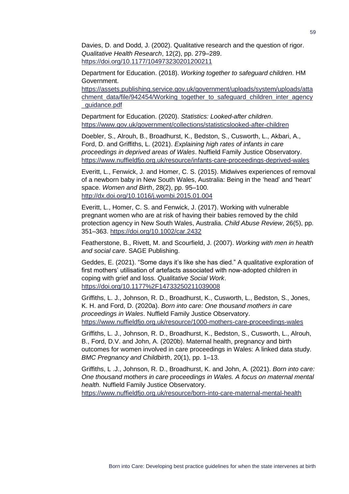Davies, D. and Dodd, J. (2002). Qualitative research and the question of rigor. *Qualitative Health Research*, 12(2), pp. 279–289. <https://doi.org/10.1177/104973230201200211>

Department for Education. (2018). *Working together to safeguard children*. HM Government.

[https://assets.publishing.service.gov.uk/government/uploads/system/uploads/atta](https://assets.publishing.service.gov.uk/government/uploads/system/uploads/attachment_data/file/942454/Working_together_to_safeguard_children_inter_agency_guidance.pdf) [chment\\_data/file/942454/Working\\_together\\_to\\_safeguard\\_children\\_inter\\_agency](https://assets.publishing.service.gov.uk/government/uploads/system/uploads/attachment_data/file/942454/Working_together_to_safeguard_children_inter_agency_guidance.pdf) [\\_guidance.pdf](https://assets.publishing.service.gov.uk/government/uploads/system/uploads/attachment_data/file/942454/Working_together_to_safeguard_children_inter_agency_guidance.pdf)

Department for Education. (2020). *Statistics: Looked-after children*. <https://www.gov.uk/government/collections/statisticslooked-after-children>

Doebler, S., Alrouh, B., Broadhurst, K., Bedston, S., Cusworth, L., Akbari, A., Ford, D. and Griffiths, L. (2021). *Explaining high rates of infants in care proceedings in deprived areas of Wales*. Nuffield Family Justice Observatory. <https://www.nuffieldfjo.org.uk/resource/infants-care-proceedings-deprived-wales>

Everitt, L., Fenwick, J. and Homer, C. S. (2015). Midwives experiences of removal of a newborn baby in New South Wales, Australia: Being in the 'head' and 'heart' space. *Women and Birth*, 28(2), pp. 95–100. <http://dx.doi.org/10.1016/j.wombi.2015.01.004>

Everitt, L., Homer, C. S. and Fenwick, J. (2017). Working with vulnerable pregnant women who are at risk of having their babies removed by the child protection agency in New South Wales, Australia. *Child Abuse Review*, 26(5), pp. 351–363.<https://doi.org/10.1002/car.2432>

Featherstone, B., Rivett, M. and Scourfield, J. (2007). *Working with men in health and social care*. SAGE Publishing.

Geddes, E. (2021). "Some days it's like she has died." A qualitative exploration of first mothers' utilisation of artefacts associated with now-adopted children in coping with grief and loss. *Qualitative Social Work*. <https://doi.org/10.1177%2F14733250211039008>

Griffiths, L. J., Johnson, R. D., Broadhurst, K., Cusworth, L., Bedston, S., Jones, K. H. and Ford, D. (2020a). *Born into care: One thousand mothers in care proceedings in Wales*. Nuffield Family Justice Observatory. <https://www.nuffieldfjo.org.uk/resource/1000-mothers-care-proceedings-wales>

Griffiths, L. J., Johnson, R. D., Broadhurst, K., Bedston, S., Cusworth, L., Alrouh, B., Ford, D.V. and John, A. (2020b). Maternal health, pregnancy and birth outcomes for women involved in care proceedings in Wales: A linked data study. *BMC Pregnancy and Childbirth*, 20(1), pp. 1–13.

Griffiths, L .J., Johnson, R. D., Broadhurst, K. and John, A. (2021). *Born into care: One thousand mothers in care proceedings in Wales. A focus on maternal mental health.* Nuffield Family Justice Observatory.

<https://www.nuffieldfjo.org.uk/resource/born-into-care-maternal-mental-health>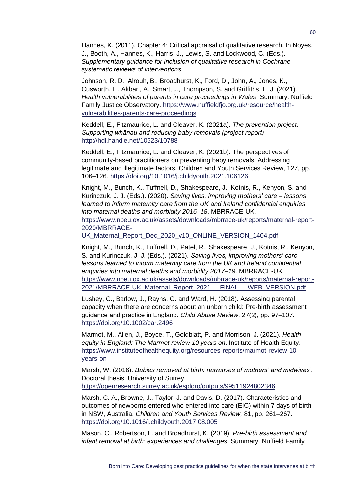Hannes, K. (2011). Chapter 4: Critical appraisal of qualitative research. In Noyes, J., Booth, A., Hannes, K., Harris, J., Lewis, S. and Lockwood, C. (Eds.). *Supplementary guidance for inclusion of qualitative research in Cochrane systematic reviews of interventions*.

Johnson, R. D., Alrouh, B., Broadhurst, K., Ford, D., John, A., Jones, K., Cusworth, L., Akbari, A., Smart, J., Thompson, S. and Griffiths, L. J. (2021). *Health vulnerabilities of parents in care proceedings in Wales*. Summary. Nuffield Family Justice Observatory. [https://www.nuffieldfjo.org.uk/resource/health](https://www.nuffieldfjo.org.uk/resource/health-vulnerabilities-parents-care-proceedings)[vulnerabilities-parents-care-proceedings](https://www.nuffieldfjo.org.uk/resource/health-vulnerabilities-parents-care-proceedings)

Keddell, E., Fitzmaurice, L. and Cleaver, K. (2021a). *The prevention project: Supporting whānau and reducing baby removals (project report)*. <http://hdl.handle.net/10523/10788>

Keddell, E., Fitzmaurice, L. and Cleaver, K. (2021b). The perspectives of community-based practitioners on preventing baby removals: Addressing legitimate and illegitimate factors. Children and Youth Services Review, 127, pp. 106–126. <https://doi.org/10.1016/j.childyouth.2021.106126>

Knight, M., Bunch, K., Tuffnell, D., Shakespeare, J., Kotnis, R., Kenyon, S. and Kurinczuk, J. J. (Eds.). (2020). *Saving lives, improving mothers' care – lessons learned to inform maternity care from the UK and Ireland confidential enquiries into maternal deaths and morbidity 2016–18*. MBRRACE-UK.

[https://www.npeu.ox.ac.uk/assets/downloads/mbrrace-uk/reports/maternal-report-](https://www.npeu.ox.ac.uk/assets/downloads/mbrrace-uk/reports/maternal-report-2020/MBRRACE-UK_Maternal_Report_Dec_2020_v10_ONLINE_VERSION_1404.pdf)[2020/MBRRACE-](https://www.npeu.ox.ac.uk/assets/downloads/mbrrace-uk/reports/maternal-report-2020/MBRRACE-UK_Maternal_Report_Dec_2020_v10_ONLINE_VERSION_1404.pdf)

[UK\\_Maternal\\_Report\\_Dec\\_2020\\_v10\\_ONLINE\\_VERSION\\_1404.pdf](https://www.npeu.ox.ac.uk/assets/downloads/mbrrace-uk/reports/maternal-report-2020/MBRRACE-UK_Maternal_Report_Dec_2020_v10_ONLINE_VERSION_1404.pdf)

Knight, M., Bunch, K., Tuffnell, D., Patel, R., Shakespeare, J., Kotnis, R., Kenyon, S. and Kurinczuk, J. J. (Eds.). (2021). *Saving lives, improving mothers' care – lessons learned to inform maternity care from the UK and Ireland confidential enquiries into maternal deaths and morbidity 2017–19*. MBRRACE-UK. [https://www.npeu.ox.ac.uk/assets/downloads/mbrrace-uk/reports/maternal-report-](https://www.npeu.ox.ac.uk/assets/downloads/mbrrace-uk/reports/maternal-report-2021/MBRRACE-UK_Maternal_Report_2021_-_FINAL_-_WEB_VERSION.pdf)[2021/MBRRACE-UK\\_Maternal\\_Report\\_2021\\_-\\_FINAL\\_-\\_WEB\\_VERSION.pdf](https://www.npeu.ox.ac.uk/assets/downloads/mbrrace-uk/reports/maternal-report-2021/MBRRACE-UK_Maternal_Report_2021_-_FINAL_-_WEB_VERSION.pdf)

Lushey, C., Barlow, J., Rayns, G. and Ward, H. (2018). Assessing parental capacity when there are concerns about an unborn child: Pre‐birth assessment guidance and practice in England. *Child Abuse Review*, 27(2), pp. 97–107. <https://doi.org/10.1002/car.2496>

Marmot, M., Allen, J., Boyce, T., Goldblatt, P. and Morrison, J. (2021). *Health equity in England: The Marmot review 10 years on*. Institute of Health Equity. [https://www.instituteofhealthequity.org/resources-reports/marmot-review-10](https://www.instituteofhealthequity.org/resources-reports/marmot-review-10-years-on) [years-on](https://www.instituteofhealthequity.org/resources-reports/marmot-review-10-years-on)

Marsh, W. (2016). *Babies removed at birth: narratives of mothers' and midwives'*. Doctoral thesis. University of Surrey.

<https://openresearch.surrey.ac.uk/esploro/outputs/99511924802346>

Marsh, C. A., Browne, J., Taylor, J. and Davis, D. (2017). Characteristics and outcomes of newborns entered who entered into care (EIC) within 7 days of birth in NSW, Australia. *Children and Youth Services Review,* 81, pp. 261–267. <https://doi.org/10.1016/j.childyouth.2017.08.005>

Mason, C., Robertson, L. and Broadhurst, K. (2019). *Pre-birth assessment and infant removal at birth: experiences and challenges*. Summary. Nuffield Family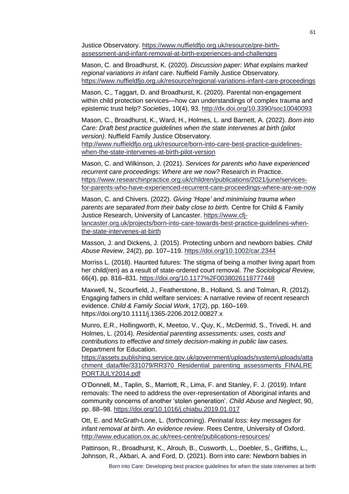Justice Observatory. [https://www.nuffieldfjo.org.uk/resource/pre-birth](https://www.nuffieldfjo.org.uk/resource/pre-birth-assessment-and-infant-removal-at-birth-experiences-and-challenges)[assessment-and-infant-removal-at-birth-experiences-and-challenges](https://www.nuffieldfjo.org.uk/resource/pre-birth-assessment-and-infant-removal-at-birth-experiences-and-challenges)

Mason, C. and Broadhurst, K. (2020). *Discussion paper: What explains marked regional variations in infant care*. Nuffield Family Justice Observatory. <https://www.nuffieldfjo.org.uk/resource/regional-variations-infant-care-proceedings>

Mason, C., Taggart, D. and Broadhurst, K. (2020). Parental non-engagement within child protection services—how can understandings of complex trauma and epistemic trust help? *Societies*, 10(4), 93. <http://dx.doi.org/10.3390/soc10040093>

Mason, C., Broadhurst, K., Ward, H., Holmes, L. and Barnett, A. (2022). *Born into Care: Draft best practice guidelines when the state intervenes at birth (pilot version)*. Nuffield Family Justice Observatory.

[http://www.nuffieldfjo.org.uk/resource/born-into-care-best-practice-guidelines](http://www.nuffieldfjo.org.uk/resource/born-into-care-best-practice-guidelines-when-the-state-intervenes-at-birth-pilot-version)[when-the-state-intervenes-at-birth-pilot-version](http://www.nuffieldfjo.org.uk/resource/born-into-care-best-practice-guidelines-when-the-state-intervenes-at-birth-pilot-version)

Mason, C. and Wilkinson, J. (2021). *Services for parents who have experienced recurrent care proceedings: Where are we now?* Research in Practice. [https://www.researchinpractice.org.uk/children/publications/2021/june/services](https://www.researchinpractice.org.uk/children/publications/2021/june/services-for-parents-who-have-experienced-recurrent-care-proceedings-where-are-we-now)[for-parents-who-have-experienced-recurrent-care-proceedings-where-are-we-now](https://www.researchinpractice.org.uk/children/publications/2021/june/services-for-parents-who-have-experienced-recurrent-care-proceedings-where-are-we-now)

Mason, C. and Chivers. (2022). *Giving 'Hope' and minimising trauma when parents are separated from their baby close to birth.* Centre for Child & Family Justice Research, University of Lancaster. [https://www.cfj](https://www.cfj-lancaster.org.uk/projects/born-into-care-towards-best-practice-guidelines-when-the-state-intervenes-at-birth)[lancaster.org.uk/projects/born-into-care-towards-best-practice-guidelines-when](https://www.cfj-lancaster.org.uk/projects/born-into-care-towards-best-practice-guidelines-when-the-state-intervenes-at-birth)[the-state-intervenes-at-birth](https://www.cfj-lancaster.org.uk/projects/born-into-care-towards-best-practice-guidelines-when-the-state-intervenes-at-birth)

Masson, J. and Dickens, J. (2015). Protecting unborn and newborn babies. *Child Abuse Review*, 24(2), pp. 107–119. <https://doi.org/10.1002/car.2344>

Morriss L. (2018). Haunted futures: The stigma of being a mother living apart from her child(ren) as a result of state-ordered court removal. *The Sociological Review,*  66(4), pp. 816–831.<https://doi.org/10.1177%2F0038026118777448>

Maxwell, N., Scourfield, J., Featherstone, B., Holland, S. and Tolman, R. (2012). Engaging fathers in child welfare services: A narrative review of recent research evidence. *Child & Family Social Work*, 17(2), pp. 160–169. https://doi.org/10.1111/j.1365-2206.2012.00827.x

Munro, E.R., Hollingworth, K, Meetoo, V., Quy, K., McDermid, S., Trivedi, H. and Holmes, L. (2014). *Residential parenting assessments: uses, costs and contributions to effective and timely decision-making in public law cases.* Department for Education.

[https://assets.publishing.service.gov.uk/government/uploads/system/uploads/atta](https://assets.publishing.service.gov.uk/government/uploads/system/uploads/attachment_data/file/331079/RR370_Residential_parenting_assessments_FINALREPORTJULY2014.pdf) [chment\\_data/file/331079/RR370\\_Residential\\_parenting\\_assessments\\_FINALRE](https://assets.publishing.service.gov.uk/government/uploads/system/uploads/attachment_data/file/331079/RR370_Residential_parenting_assessments_FINALREPORTJULY2014.pdf) [PORTJULY2014.pdf](https://assets.publishing.service.gov.uk/government/uploads/system/uploads/attachment_data/file/331079/RR370_Residential_parenting_assessments_FINALREPORTJULY2014.pdf)

O'Donnell, M., Taplin, S., Marriott, R., Lima, F. and Stanley, F. J. (2019). Infant removals: The need to address the over-representation of Aboriginal infants and community concerns of another 'stolen generation'. *Child Abuse and Neglect*, 90, pp. 88–98. <https://doi.org/10.1016/j.chiabu.2019.01.017>

Ott, E. and McGrath-Lone, L. (forthcoming). *Perinatal loss: key messages for infant removal at birth. An evidence review*. Rees Centre, University of Oxford. <http://www.education.ox.ac.uk/rees-centre/publications-resources/>

Pattinson, R., Broadhurst, K., Alrouh, B., Cusworth, L., Doebler, S., Griffiths, L., Johnson, R., Akbari, A. and Ford, D. (2021). Born into care: Newborn babies in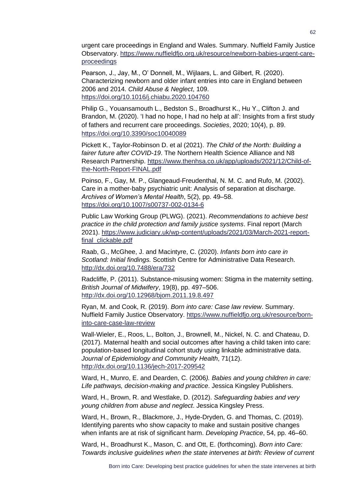urgent care proceedings in England and Wales. Summary. Nuffield Family Justice Observatory. [https://www.nuffieldfjo.org.uk/resource/newborn-babies-urgent-care](https://www.nuffieldfjo.org.uk/resource/newborn-babies-urgent-care-proceedings)[proceedings](https://www.nuffieldfjo.org.uk/resource/newborn-babies-urgent-care-proceedings)

Pearson, J., Jay, M., O' Donnell, M., Wijlaars, L. and Gilbert, R. (2020). Characterizing newborn and older infant entries into care in England between 2006 and 2014. *Child Abuse & Neglect*, 109. <https://doi.org/10.1016/j.chiabu.2020.104760>

Philip G., Youansamouth L., Bedston S., Broadhurst K., Hu Y., Clifton J. and Brandon, M. (2020). 'I had no hope, I had no help at all': Insights from a first study of fathers and recurrent care proceedings. *Societies*, 2020; 10(4), p. 89. <https://doi.org/10.3390/soc10040089>

Pickett K., Taylor-Robinson D. et al (2021). *The Child of the North: Building a fairer future after COVID-19*. The Northern Health Science Alliance and N8 Research Partnership. [https://www.thenhsa.co.uk/app/uploads/2021/12/Child-of](https://www.thenhsa.co.uk/app/uploads/2021/12/Child-of-the-North-Report-FINAL.pdf)[the-North-Report-FINAL.pdf](https://www.thenhsa.co.uk/app/uploads/2021/12/Child-of-the-North-Report-FINAL.pdf)

Poinso, F., Gay, M. P., Glangeaud-Freudenthal, N. M. C. and Rufo, M. (2002). Care in a mother-baby psychiatric unit: Analysis of separation at discharge. *Archives of Women's Mental Health*, 5(2), pp. 49–58. <https://doi.org/10.1007/s00737-002-0134-6>

Public Law Working Group (PLWG). (2021). *Recommendations to achieve best practice in the child protection and family justice systems*. Final report (March 2021). [https://www.judiciary.uk/wp-content/uploads/2021/03/March-2021-report](https://www.judiciary.uk/wp-content/uploads/2021/03/March-2021-report-final_clickable.pdf)final clickable.pdf

Raab, G., McGhee, J. and Macintyre, C. (2020). *Infants born into care in Scotland: Initial findings.* Scottish Centre for Administrative Data Research. <http://dx.doi.org/10.7488/era/732>

Radcliffe, P. (2011). Substance-misusing women: Stigma in the maternity setting. *British Journal of Midwifery*, 19(8), pp. 497–506. <http://dx.doi.org/10.12968/bjom.2011.19.8.497>

Ryan, M. and Cook, R. (2019). *Born into care: Case law review*. Summary. Nuffield Family Justice Observatory. [https://www.nuffieldfjo.org.uk/resource/born](https://www.nuffieldfjo.org.uk/resource/born-into-care-case-law-review)[into-care-case-law-review](https://www.nuffieldfjo.org.uk/resource/born-into-care-case-law-review)

Wall-Wieler, E., Roos, L., Bolton, J., Brownell, M., Nickel, N. C. and Chateau, D. (2017). Maternal health and social outcomes after having a child taken into care: population-based longitudinal cohort study using linkable administrative data. *Journal of Epidemiology and Community Health*, 71(12). <http://dx.doi.org/10.1136/jech-2017-209542>

Ward, H., Munro, E. and Dearden, C. (2006*). Babies and young children in care: Life pathways, decision-making and practice*. Jessica Kingsley Publishers.

Ward, H., Brown, R. and Westlake, D. (2012). *Safeguarding babies and very young children from abuse and neglect*. Jessica Kingsley Press.

Ward, H., Brown, R., Blackmore, J., Hyde-Dryden, G. and Thomas, C. (2019). Identifying parents who show capacity to make and sustain positive changes when infants are at risk of significant harm. *Developing Practice*, 54, pp. 46–60.

Ward, H., Broadhurst K., Mason, C. and Ott, E. (forthcoming). *Born into Care: Towards inclusive guidelines when the state intervenes at birth: Review of current*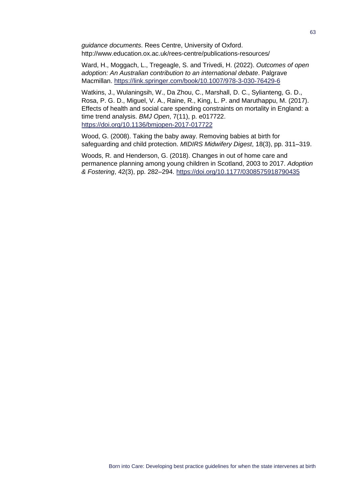*guidance documents*. Rees Centre, University of Oxford. http://www.education.ox.ac.uk/rees-centre/publications-resources/

Ward, H., Moggach, L., Tregeagle, S. and Trivedi, H. (2022). *Outcomes of open adoption: An Australian contribution to an international debate*. Palgrave Macmillan.<https://link.springer.com/book/10.1007/978-3-030-76429-6>

Watkins, J., Wulaningsih, W., Da Zhou, C., Marshall, D. C., Sylianteng, G. D., Rosa, P. G. D., Miguel, V. A., Raine, R., King, L. P. and Maruthappu, M. (2017). Effects of health and social care spending constraints on mortality in England: a time trend analysis. *BMJ Open*, 7(11), p. e017722. <https://doi.org/10.1136/bmjopen-2017-017722>

Wood, G. (2008). Taking the baby away. Removing babies at birth for safeguarding and child protection. *MIDIRS Midwifery Digest*, 18(3), pp. 311–319.

Woods, R. and Henderson, G. (2018). Changes in out of home care and permanence planning among young children in Scotland, 2003 to 2017. *Adoption & Fostering*, 42(3), pp. 282–294. <https://doi.org/10.1177/0308575918790435>